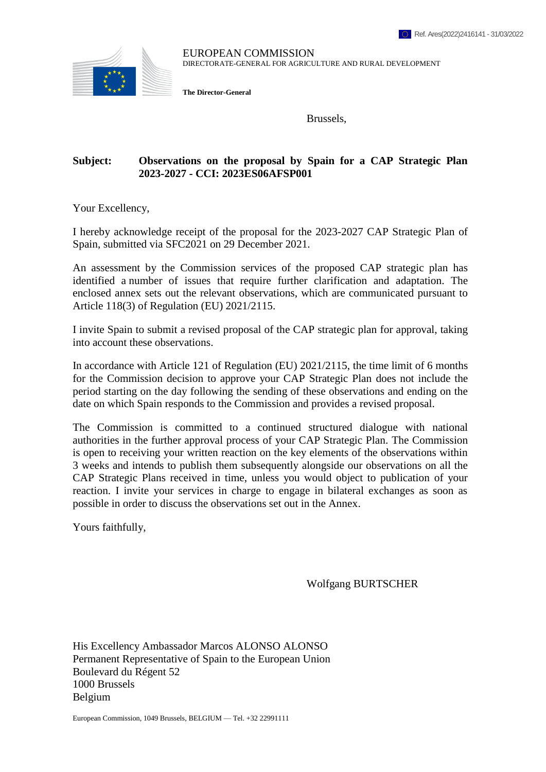

EUROPEAN COMMISSION DIRECTORATE-GENERAL FOR AGRICULTURE AND RURAL DEVELOPMENT

**The Director-General**

Brussels,

## **Subject: Observations on the proposal by Spain for a CAP Strategic Plan 2023-2027 - CCI: 2023ES06AFSP001**

Your Excellency,

I hereby acknowledge receipt of the proposal for the 2023-2027 CAP Strategic Plan of Spain, submitted via SFC2021 on 29 December 2021.

An assessment by the Commission services of the proposed CAP strategic plan has identified a number of issues that require further clarification and adaptation. The enclosed annex sets out the relevant observations, which are communicated pursuant to Article 118(3) of Regulation (EU) 2021/2115.

I invite Spain to submit a revised proposal of the CAP strategic plan for approval, taking into account these observations.

In accordance with Article 121 of Regulation (EU) 2021/2115, the time limit of 6 months for the Commission decision to approve your CAP Strategic Plan does not include the period starting on the day following the sending of these observations and ending on the date on which Spain responds to the Commission and provides a revised proposal.

The Commission is committed to a continued structured dialogue with national authorities in the further approval process of your CAP Strategic Plan. The Commission is open to receiving your written reaction on the key elements of the observations within 3 weeks and intends to publish them subsequently alongside our observations on all the CAP Strategic Plans received in time, unless you would object to publication of your reaction. I invite your services in charge to engage in bilateral exchanges as soon as possible in order to discuss the observations set out in the Annex.

Yours faithfully,

Wolfgang BURTSCHER

His Excellency Ambassador Marcos ALONSO ALONSO Permanent Representative of Spain to the European Union Boulevard du Régent 52 1000 Brussels Belgium

European Commission, 1049 Brussels, BELGIUM — Tel. +32 22991111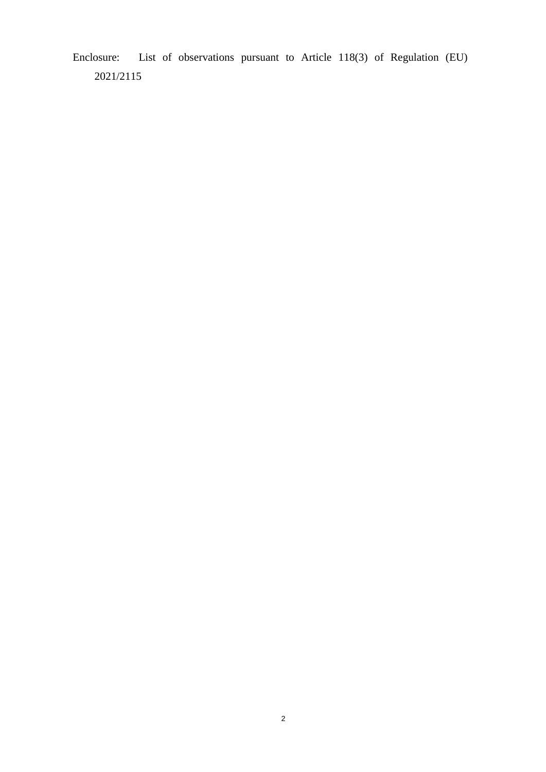Enclosure: List of observations pursuant to Article 118(3) of Regulation (EU) 2021/2115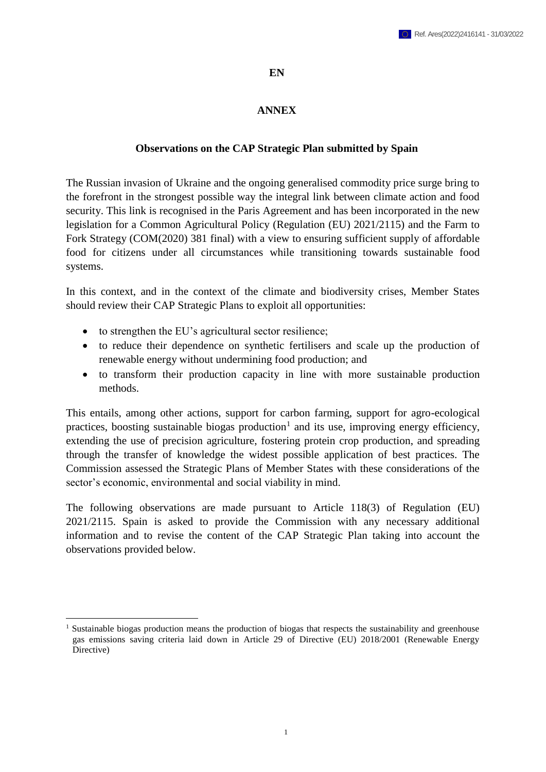## **EN**

# **ANNEX**

## **Observations on the CAP Strategic Plan submitted by Spain**

The Russian invasion of Ukraine and the ongoing generalised commodity price surge bring to the forefront in the strongest possible way the integral link between climate action and food security. This link is recognised in the Paris Agreement and has been incorporated in the new legislation for a Common Agricultural Policy (Regulation (EU) 2021/2115) and the Farm to Fork Strategy (COM(2020) 381 final) with a view to ensuring sufficient supply of affordable food for citizens under all circumstances while transitioning towards sustainable food systems.

In this context, and in the context of the climate and biodiversity crises, Member States should review their CAP Strategic Plans to exploit all opportunities:

• to strengthen the EU's agricultural sector resilience;

1

- to reduce their dependence on synthetic fertilisers and scale up the production of renewable energy without undermining food production; and
- to transform their production capacity in line with more sustainable production methods.

This entails, among other actions, support for carbon farming, support for agro-ecological practices, boosting sustainable biogas production<sup>1</sup> and its use, improving energy efficiency, extending the use of precision agriculture, fostering protein crop production, and spreading through the transfer of knowledge the widest possible application of best practices. The Commission assessed the Strategic Plans of Member States with these considerations of the sector's economic, environmental and social viability in mind.

The following observations are made pursuant to Article 118(3) of Regulation (EU) 2021/2115. Spain is asked to provide the Commission with any necessary additional information and to revise the content of the CAP Strategic Plan taking into account the observations provided below.

Sustainable biogas production means the production of biogas that respects the sustainability and greenhouse gas emissions saving criteria laid down in Article 29 of Directive (EU) 2018/2001 (Renewable Energy Directive)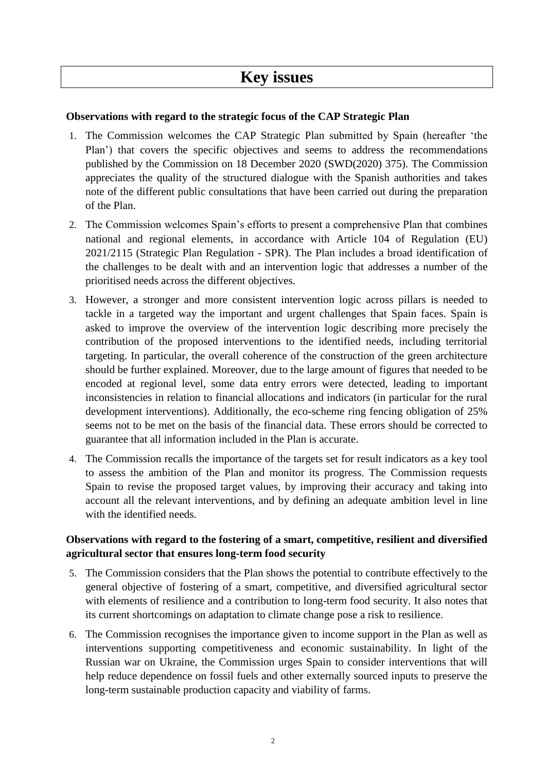# **Observations with regard to the strategic focus of the CAP Strategic Plan**

- 1. The Commission welcomes the CAP Strategic Plan submitted by Spain (hereafter 'the Plan') that covers the specific objectives and seems to address the recommendations published by the Commission on 18 December 2020 (SWD(2020) 375). The Commission appreciates the quality of the structured dialogue with the Spanish authorities and takes note of the different public consultations that have been carried out during the preparation of the Plan.
- 2. The Commission welcomes Spain's efforts to present a comprehensive Plan that combines national and regional elements, in accordance with Article 104 of Regulation (EU) 2021/2115 (Strategic Plan Regulation - SPR). The Plan includes a broad identification of the challenges to be dealt with and an intervention logic that addresses a number of the prioritised needs across the different objectives.
- 3. However, a stronger and more consistent intervention logic across pillars is needed to tackle in a targeted way the important and urgent challenges that Spain faces. Spain is asked to improve the overview of the intervention logic describing more precisely the contribution of the proposed interventions to the identified needs, including territorial targeting. In particular, the overall coherence of the construction of the green architecture should be further explained. Moreover, due to the large amount of figures that needed to be encoded at regional level, some data entry errors were detected, leading to important inconsistencies in relation to financial allocations and indicators (in particular for the rural development interventions). Additionally, the eco-scheme ring fencing obligation of 25% seems not to be met on the basis of the financial data. These errors should be corrected to guarantee that all information included in the Plan is accurate.
- 4. The Commission recalls the importance of the targets set for result indicators as a key tool to assess the ambition of the Plan and monitor its progress. The Commission requests Spain to revise the proposed target values, by improving their accuracy and taking into account all the relevant interventions, and by defining an adequate ambition level in line with the identified needs.

# **Observations with regard to the fostering of a smart, competitive, resilient and diversified agricultural sector that ensures long-term food security**

- 5. The Commission considers that the Plan shows the potential to contribute effectively to the general objective of fostering of a smart, competitive, and diversified agricultural sector with elements of resilience and a contribution to long-term food security. It also notes that its current shortcomings on adaptation to climate change pose a risk to resilience.
- 6. The Commission recognises the importance given to income support in the Plan as well as interventions supporting competitiveness and economic sustainability. In light of the Russian war on Ukraine, the Commission urges Spain to consider interventions that will help reduce dependence on fossil fuels and other externally sourced inputs to preserve the long-term sustainable production capacity and viability of farms.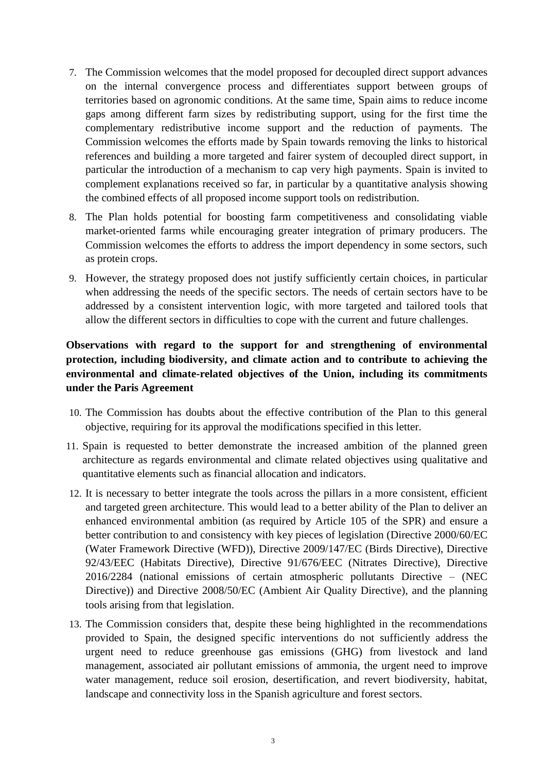- 7. The Commission welcomes that the model proposed for decoupled direct support advances on the internal convergence process and differentiates support between groups of territories based on agronomic conditions. At the same time, Spain aims to reduce income gaps among different farm sizes by redistributing support, using for the first time the complementary redistributive income support and the reduction of payments. The Commission welcomes the efforts made by Spain towards removing the links to historical references and building a more targeted and fairer system of decoupled direct support, in particular the introduction of a mechanism to cap very high payments. Spain is invited to complement explanations received so far, in particular by a quantitative analysis showing the combined effects of all proposed income support tools on redistribution.
- 8. The Plan holds potential for boosting farm competitiveness and consolidating viable market-oriented farms while encouraging greater integration of primary producers. The Commission welcomes the efforts to address the import dependency in some sectors, such as protein crops.
- 9. However, the strategy proposed does not justify sufficiently certain choices, in particular when addressing the needs of the specific sectors. The needs of certain sectors have to be addressed by a consistent intervention logic, with more targeted and tailored tools that allow the different sectors in difficulties to cope with the current and future challenges.

# **Observations with regard to the support for and strengthening of environmental protection, including biodiversity, and climate action and to contribute to achieving the environmental and climate-related objectives of the Union, including its commitments under the Paris Agreement**

- 10. The Commission has doubts about the effective contribution of the Plan to this general objective, requiring for its approval the modifications specified in this letter.
- 11. Spain is requested to better demonstrate the increased ambition of the planned green architecture as regards environmental and climate related objectives using qualitative and quantitative elements such as financial allocation and indicators.
- 12. It is necessary to better integrate the tools across the pillars in a more consistent, efficient and targeted green architecture. This would lead to a better ability of the Plan to deliver an enhanced environmental ambition (as required by Article 105 of the SPR) and ensure a better contribution to and consistency with key pieces of legislation (Directive 2000/60/EC (Water Framework Directive (WFD)), Directive 2009/147/EC (Birds Directive), Directive 92/43/EEC (Habitats Directive), Directive 91/676/EEC (Nitrates Directive), Directive 2016/2284 (national emissions of certain atmospheric pollutants Directive – (NEC Directive)) and Directive 2008/50/EC (Ambient Air Quality Directive), and the planning tools arising from that legislation.
- 13. The Commission considers that, despite these being highlighted in the recommendations provided to Spain, the designed specific interventions do not sufficiently address the urgent need to reduce greenhouse gas emissions (GHG) from livestock and land management, associated air pollutant emissions of ammonia, the urgent need to improve water management, reduce soil erosion, desertification, and revert biodiversity, habitat, landscape and connectivity loss in the Spanish agriculture and forest sectors.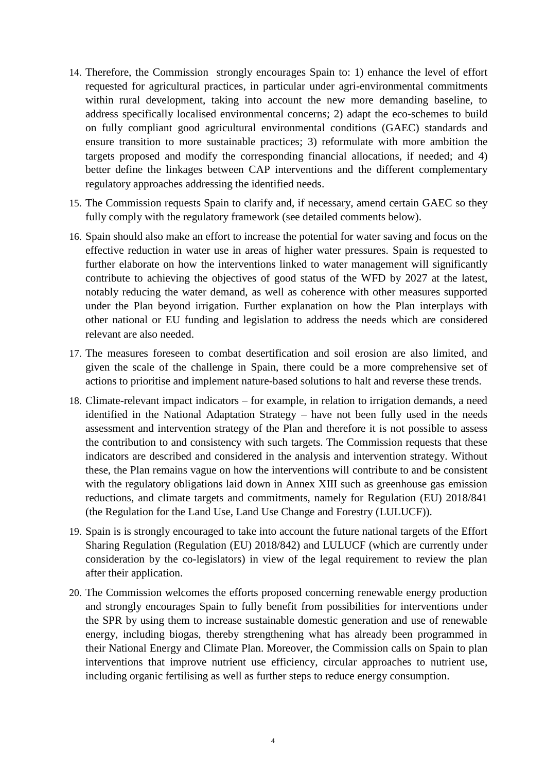- 14. Therefore, the Commission strongly encourages Spain to: 1) enhance the level of effort requested for agricultural practices, in particular under agri-environmental commitments within rural development, taking into account the new more demanding baseline, to address specifically localised environmental concerns; 2) adapt the eco-schemes to build on fully compliant good agricultural environmental conditions (GAEC) standards and ensure transition to more sustainable practices; 3) reformulate with more ambition the targets proposed and modify the corresponding financial allocations, if needed; and 4) better define the linkages between CAP interventions and the different complementary regulatory approaches addressing the identified needs.
- 15. The Commission requests Spain to clarify and, if necessary, amend certain GAEC so they fully comply with the regulatory framework (see detailed comments below).
- 16. Spain should also make an effort to increase the potential for water saving and focus on the effective reduction in water use in areas of higher water pressures. Spain is requested to further elaborate on how the interventions linked to water management will significantly contribute to achieving the objectives of good status of the WFD by 2027 at the latest, notably reducing the water demand, as well as coherence with other measures supported under the Plan beyond irrigation. Further explanation on how the Plan interplays with other national or EU funding and legislation to address the needs which are considered relevant are also needed.
- 17. The measures foreseen to combat desertification and soil erosion are also limited, and given the scale of the challenge in Spain, there could be a more comprehensive set of actions to prioritise and implement nature-based solutions to halt and reverse these trends.
- 18. Climate-relevant impact indicators for example, in relation to irrigation demands, a need identified in the National Adaptation Strategy – have not been fully used in the needs assessment and intervention strategy of the Plan and therefore it is not possible to assess the contribution to and consistency with such targets. The Commission requests that these indicators are described and considered in the analysis and intervention strategy. Without these, the Plan remains vague on how the interventions will contribute to and be consistent with the regulatory obligations laid down in Annex XIII such as greenhouse gas emission reductions, and climate targets and commitments, namely for Regulation (EU) 2018/841 (the Regulation for the Land Use, Land Use Change and Forestry (LULUCF)).
- 19. Spain is is strongly encouraged to take into account the future national targets of the Effort Sharing Regulation (Regulation (EU) 2018/842) and LULUCF (which are currently under consideration by the co-legislators) in view of the legal requirement to review the plan after their application.
- 20. The Commission welcomes the efforts proposed concerning renewable energy production and strongly encourages Spain to fully benefit from possibilities for interventions under the SPR by using them to increase sustainable domestic generation and use of renewable energy, including biogas, thereby strengthening what has already been programmed in their National Energy and Climate Plan. Moreover, the Commission calls on Spain to plan interventions that improve nutrient use efficiency, circular approaches to nutrient use, including organic fertilising as well as further steps to reduce energy consumption.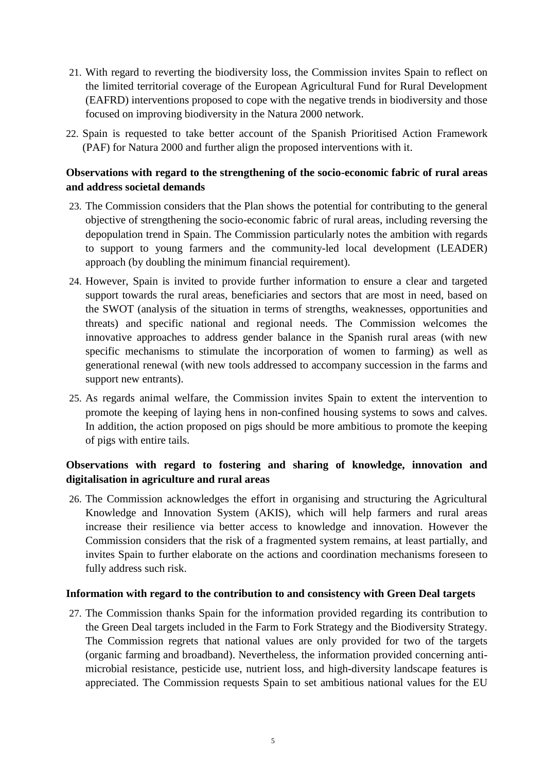- 21. With regard to reverting the biodiversity loss, the Commission invites Spain to reflect on the limited territorial coverage of the European Agricultural Fund for Rural Development (EAFRD) interventions proposed to cope with the negative trends in biodiversity and those focused on improving biodiversity in the Natura 2000 network.
- 22. Spain is requested to take better account of the Spanish Prioritised Action Framework (PAF) for Natura 2000 and further align the proposed interventions with it.

# **Observations with regard to the strengthening of the socio-economic fabric of rural areas and address societal demands**

- 23. The Commission considers that the Plan shows the potential for contributing to the general objective of strengthening the socio-economic fabric of rural areas, including reversing the depopulation trend in Spain. The Commission particularly notes the ambition with regards to support to young farmers and the community-led local development (LEADER) approach (by doubling the minimum financial requirement).
- 24. However, Spain is invited to provide further information to ensure a clear and targeted support towards the rural areas, beneficiaries and sectors that are most in need, based on the SWOT (analysis of the situation in terms of strengths, weaknesses, opportunities and threats) and specific national and regional needs. The Commission welcomes the innovative approaches to address gender balance in the Spanish rural areas (with new specific mechanisms to stimulate the incorporation of women to farming) as well as generational renewal (with new tools addressed to accompany succession in the farms and support new entrants).
- 25. As regards animal welfare, the Commission invites Spain to extent the intervention to promote the keeping of laying hens in non-confined housing systems to sows and calves. In addition, the action proposed on pigs should be more ambitious to promote the keeping of pigs with entire tails.

# **Observations with regard to fostering and sharing of knowledge, innovation and digitalisation in agriculture and rural areas**

26. The Commission acknowledges the effort in organising and structuring the Agricultural Knowledge and Innovation System (AKIS), which will help farmers and rural areas increase their resilience via better access to knowledge and innovation. However the Commission considers that the risk of a fragmented system remains, at least partially, and invites Spain to further elaborate on the actions and coordination mechanisms foreseen to fully address such risk.

#### **Information with regard to the contribution to and consistency with Green Deal targets**

27. The Commission thanks Spain for the information provided regarding its contribution to the Green Deal targets included in the Farm to Fork Strategy and the Biodiversity Strategy. The Commission regrets that national values are only provided for two of the targets (organic farming and broadband). Nevertheless, the information provided concerning antimicrobial resistance, pesticide use, nutrient loss, and high-diversity landscape features is appreciated. The Commission requests Spain to set ambitious national values for the EU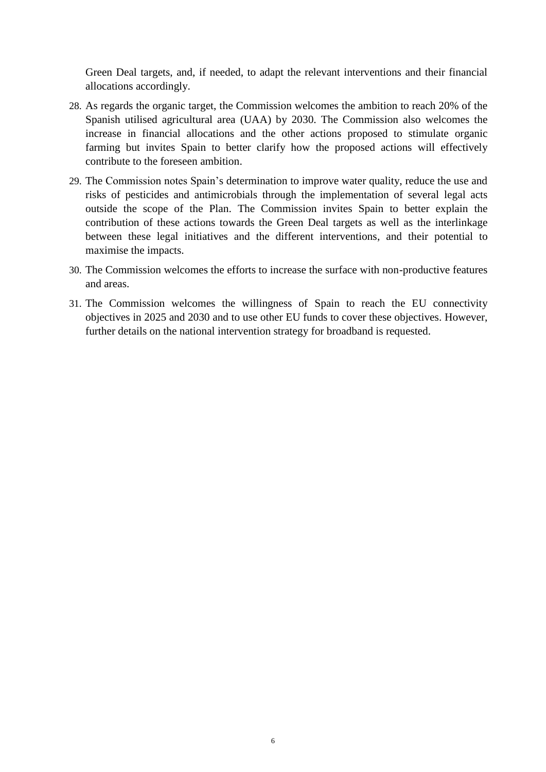Green Deal targets, and, if needed, to adapt the relevant interventions and their financial allocations accordingly.

- 28. As regards the organic target, the Commission welcomes the ambition to reach 20% of the Spanish utilised agricultural area (UAA) by 2030. The Commission also welcomes the increase in financial allocations and the other actions proposed to stimulate organic farming but invites Spain to better clarify how the proposed actions will effectively contribute to the foreseen ambition.
- 29. The Commission notes Spain's determination to improve water quality, reduce the use and risks of pesticides and antimicrobials through the implementation of several legal acts outside the scope of the Plan. The Commission invites Spain to better explain the contribution of these actions towards the Green Deal targets as well as the interlinkage between these legal initiatives and the different interventions, and their potential to maximise the impacts.
- 30. The Commission welcomes the efforts to increase the surface with non-productive features and areas.
- 31. The Commission welcomes the willingness of Spain to reach the EU connectivity objectives in 2025 and 2030 and to use other EU funds to cover these objectives. However, further details on the national intervention strategy for broadband is requested.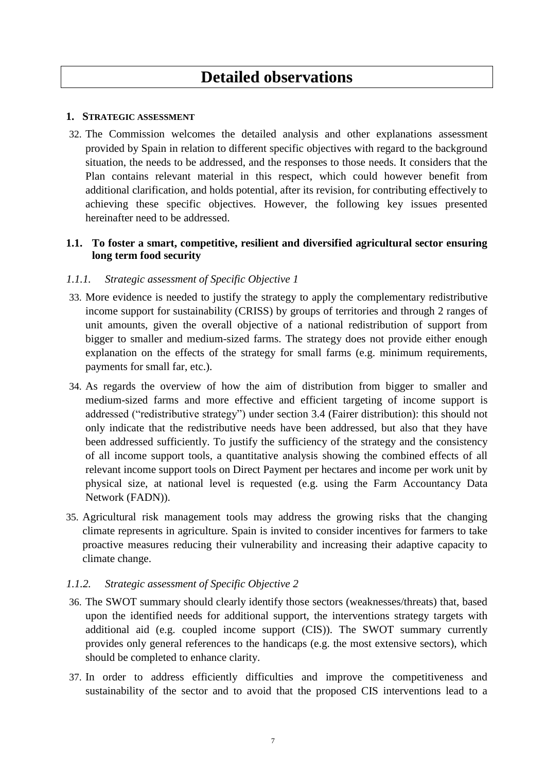# **Detailed observations**

#### **1. STRATEGIC ASSESSMENT**

32. The Commission welcomes the detailed analysis and other explanations assessment provided by Spain in relation to different specific objectives with regard to the background situation, the needs to be addressed, and the responses to those needs. It considers that the Plan contains relevant material in this respect, which could however benefit from additional clarification, and holds potential, after its revision, for contributing effectively to achieving these specific objectives. However, the following key issues presented hereinafter need to be addressed.

## **1.1. To foster a smart, competitive, resilient and diversified agricultural sector ensuring long term food security**

## *1.1.1. Strategic assessment of Specific Objective 1*

- 33. More evidence is needed to justify the strategy to apply the complementary redistributive income support for sustainability (CRISS) by groups of territories and through 2 ranges of unit amounts, given the overall objective of a national redistribution of support from bigger to smaller and medium-sized farms. The strategy does not provide either enough explanation on the effects of the strategy for small farms (e.g. minimum requirements, payments for small far, etc.).
- 34. As regards the overview of how the aim of distribution from bigger to smaller and medium-sized farms and more effective and efficient targeting of income support is addressed ("redistributive strategy") under section 3.4 (Fairer distribution): this should not only indicate that the redistributive needs have been addressed, but also that they have been addressed sufficiently. To justify the sufficiency of the strategy and the consistency of all income support tools, a quantitative analysis showing the combined effects of all relevant income support tools on Direct Payment per hectares and income per work unit by physical size, at national level is requested (e.g. using the Farm Accountancy Data Network (FADN)).
- 35. Agricultural risk management tools may address the growing risks that the changing climate represents in agriculture. Spain is invited to consider incentives for farmers to take proactive measures reducing their vulnerability and increasing their adaptive capacity to climate change.

## *1.1.2. Strategic assessment of Specific Objective 2*

- 36. The SWOT summary should clearly identify those sectors (weaknesses/threats) that, based upon the identified needs for additional support, the interventions strategy targets with additional aid (e.g. coupled income support (CIS)). The SWOT summary currently provides only general references to the handicaps (e.g. the most extensive sectors), which should be completed to enhance clarity.
- 37. In order to address efficiently difficulties and improve the competitiveness and sustainability of the sector and to avoid that the proposed CIS interventions lead to a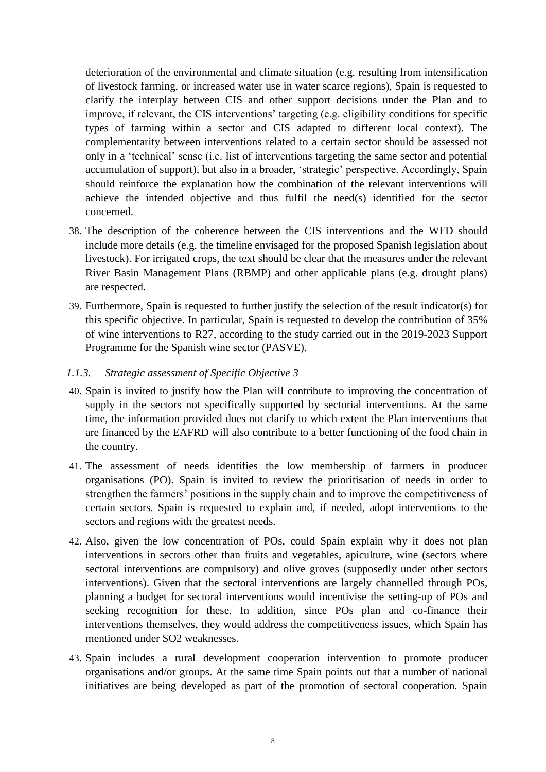deterioration of the environmental and climate situation (e.g. resulting from intensification of livestock farming, or increased water use in water scarce regions), Spain is requested to clarify the interplay between CIS and other support decisions under the Plan and to improve, if relevant, the CIS interventions' targeting (e.g. eligibility conditions for specific types of farming within a sector and CIS adapted to different local context). The complementarity between interventions related to a certain sector should be assessed not only in a 'technical' sense (i.e. list of interventions targeting the same sector and potential accumulation of support), but also in a broader, 'strategic' perspective. Accordingly, Spain should reinforce the explanation how the combination of the relevant interventions will achieve the intended objective and thus fulfil the need(s) identified for the sector concerned.

- 38. The description of the coherence between the CIS interventions and the WFD should include more details (e.g. the timeline envisaged for the proposed Spanish legislation about livestock). For irrigated crops, the text should be clear that the measures under the relevant River Basin Management Plans (RBMP) and other applicable plans (e.g. drought plans) are respected.
- 39. Furthermore, Spain is requested to further justify the selection of the result indicator(s) for this specific objective. In particular, Spain is requested to develop the contribution of 35% of wine interventions to R27, according to the study carried out in the 2019-2023 Support Programme for the Spanish wine sector (PASVE).

## *1.1.3. Strategic assessment of Specific Objective 3*

- 40. Spain is invited to justify how the Plan will contribute to improving the concentration of supply in the sectors not specifically supported by sectorial interventions. At the same time, the information provided does not clarify to which extent the Plan interventions that are financed by the EAFRD will also contribute to a better functioning of the food chain in the country.
- 41. The assessment of needs identifies the low membership of farmers in producer organisations (PO). Spain is invited to review the prioritisation of needs in order to strengthen the farmers' positions in the supply chain and to improve the competitiveness of certain sectors. Spain is requested to explain and, if needed, adopt interventions to the sectors and regions with the greatest needs.
- 42. Also, given the low concentration of POs, could Spain explain why it does not plan interventions in sectors other than fruits and vegetables, apiculture, wine (sectors where sectoral interventions are compulsory) and olive groves (supposedly under other sectors interventions). Given that the sectoral interventions are largely channelled through POs, planning a budget for sectoral interventions would incentivise the setting-up of POs and seeking recognition for these. In addition, since POs plan and co-finance their interventions themselves, they would address the competitiveness issues, which Spain has mentioned under SO2 weaknesses.
- 43. Spain includes a rural development cooperation intervention to promote producer organisations and/or groups. At the same time Spain points out that a number of national initiatives are being developed as part of the promotion of sectoral cooperation. Spain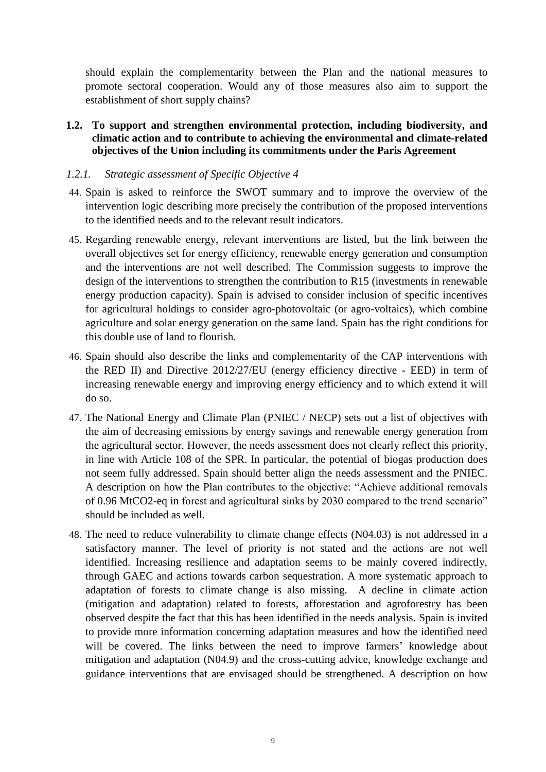should explain the complementarity between the Plan and the national measures to promote sectoral cooperation. Would any of those measures also aim to support the establishment of short supply chains?

#### **1.2. To support and strengthen environmental protection, including biodiversity, and climatic action and to contribute to achieving the environmental and climate-related objectives of the Union including its commitments under the Paris Agreement**

## *1.2.1. Strategic assessment of Specific Objective 4*

- 44. Spain is asked to reinforce the SWOT summary and to improve the overview of the intervention logic describing more precisely the contribution of the proposed interventions to the identified needs and to the relevant result indicators.
- 45. Regarding renewable energy, relevant interventions are listed, but the link between the overall objectives set for energy efficiency, renewable energy generation and consumption and the interventions are not well described. The Commission suggests to improve the design of the interventions to strengthen the contribution to R15 (investments in renewable energy production capacity). Spain is advised to consider inclusion of specific incentives for agricultural holdings to consider agro-photovoltaic (or agro-voltaics), which combine agriculture and solar energy generation on the same land. Spain has the right conditions for this double use of land to flourish.
- 46. Spain should also describe the links and complementarity of the CAP interventions with the RED II) and Directive 2012/27/EU (energy efficiency directive - EED) in term of increasing renewable energy and improving energy efficiency and to which extend it will do so.
- 47. The National Energy and Climate Plan (PNIEC / NECP) sets out a list of objectives with the aim of decreasing emissions by energy savings and renewable energy generation from the agricultural sector. However, the needs assessment does not clearly reflect this priority, in line with Article 108 of the SPR. In particular, the potential of biogas production does not seem fully addressed. Spain should better align the needs assessment and the PNIEC. A description on how the Plan contributes to the objective: "Achieve additional removals of 0.96 MtCO2-eq in forest and agricultural sinks by 2030 compared to the trend scenario" should be included as well.
- 48. The need to reduce vulnerability to climate change effects (N04.03) is not addressed in a satisfactory manner. The level of priority is not stated and the actions are not well identified. Increasing resilience and adaptation seems to be mainly covered indirectly, through GAEC and actions towards carbon sequestration. A more systematic approach to adaptation of forests to climate change is also missing. A decline in climate action (mitigation and adaptation) related to forests, afforestation and agroforestry has been observed despite the fact that this has been identified in the needs analysis. Spain is invited to provide more information concerning adaptation measures and how the identified need will be covered. The links between the need to improve farmers' knowledge about mitigation and adaptation (N04.9) and the cross-cutting advice, knowledge exchange and guidance interventions that are envisaged should be strengthened. A description on how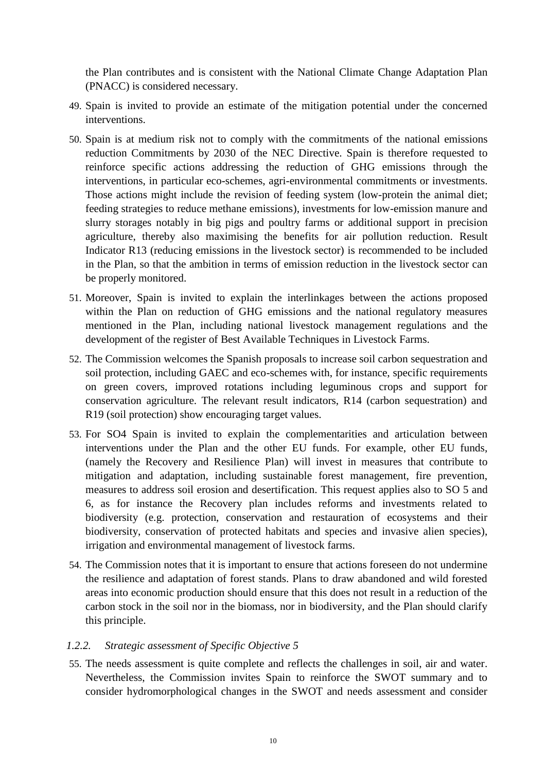the Plan contributes and is consistent with the National Climate Change Adaptation Plan (PNACC) is considered necessary.

- 49. Spain is invited to provide an estimate of the mitigation potential under the concerned interventions.
- 50. Spain is at medium risk not to comply with the commitments of the national emissions reduction Commitments by 2030 of the NEC Directive. Spain is therefore requested to reinforce specific actions addressing the reduction of GHG emissions through the interventions, in particular eco-schemes, agri-environmental commitments or investments. Those actions might include the revision of feeding system (low-protein the animal diet; feeding strategies to reduce methane emissions), investments for low-emission manure and slurry storages notably in big pigs and poultry farms or additional support in precision agriculture, thereby also maximising the benefits for air pollution reduction. Result Indicator R13 (reducing emissions in the livestock sector) is recommended to be included in the Plan, so that the ambition in terms of emission reduction in the livestock sector can be properly monitored.
- 51. Moreover, Spain is invited to explain the interlinkages between the actions proposed within the Plan on reduction of GHG emissions and the national regulatory measures mentioned in the Plan, including national livestock management regulations and the development of the register of Best Available Techniques in Livestock Farms.
- 52. The Commission welcomes the Spanish proposals to increase soil carbon sequestration and soil protection, including GAEC and eco-schemes with, for instance, specific requirements on green covers, improved rotations including leguminous crops and support for conservation agriculture. The relevant result indicators, R14 (carbon sequestration) and R19 (soil protection) show encouraging target values.
- 53. For SO4 Spain is invited to explain the complementarities and articulation between interventions under the Plan and the other EU funds. For example, other EU funds, (namely the Recovery and Resilience Plan) will invest in measures that contribute to mitigation and adaptation, including sustainable forest management, fire prevention, measures to address soil erosion and desertification. This request applies also to SO 5 and 6, as for instance the Recovery plan includes reforms and investments related to biodiversity (e.g. protection, conservation and restauration of ecosystems and their biodiversity, conservation of protected habitats and species and invasive alien species), irrigation and environmental management of livestock farms.
- 54. The Commission notes that it is important to ensure that actions foreseen do not undermine the resilience and adaptation of forest stands. Plans to draw abandoned and wild forested areas into economic production should ensure that this does not result in a reduction of the carbon stock in the soil nor in the biomass, nor in biodiversity, and the Plan should clarify this principle.

#### *1.2.2. Strategic assessment of Specific Objective 5*

55. The needs assessment is quite complete and reflects the challenges in soil, air and water. Nevertheless, the Commission invites Spain to reinforce the SWOT summary and to consider hydromorphological changes in the SWOT and needs assessment and consider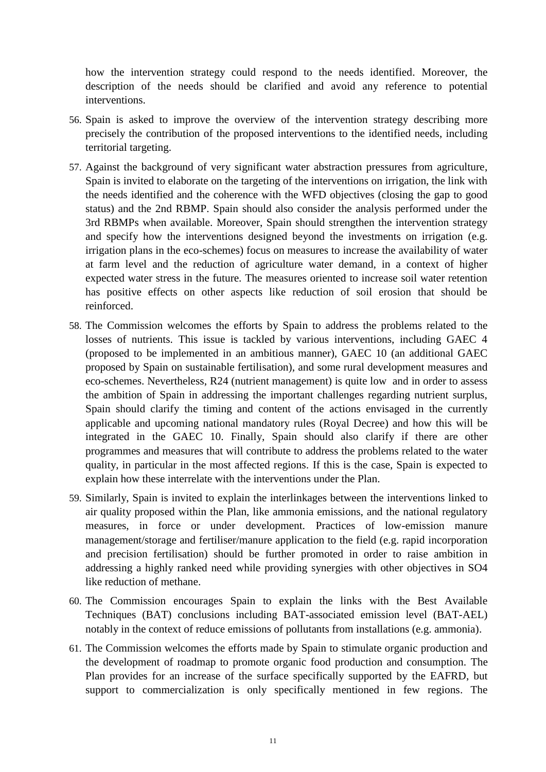how the intervention strategy could respond to the needs identified. Moreover, the description of the needs should be clarified and avoid any reference to potential interventions.

- 56. Spain is asked to improve the overview of the intervention strategy describing more precisely the contribution of the proposed interventions to the identified needs, including territorial targeting.
- 57. Against the background of very significant water abstraction pressures from agriculture, Spain is invited to elaborate on the targeting of the interventions on irrigation, the link with the needs identified and the coherence with the WFD objectives (closing the gap to good status) and the 2nd RBMP. Spain should also consider the analysis performed under the 3rd RBMPs when available. Moreover, Spain should strengthen the intervention strategy and specify how the interventions designed beyond the investments on irrigation (e.g. irrigation plans in the eco-schemes) focus on measures to increase the availability of water at farm level and the reduction of agriculture water demand, in a context of higher expected water stress in the future. The measures oriented to increase soil water retention has positive effects on other aspects like reduction of soil erosion that should be reinforced.
- 58. The Commission welcomes the efforts by Spain to address the problems related to the losses of nutrients. This issue is tackled by various interventions, including GAEC 4 (proposed to be implemented in an ambitious manner), GAEC 10 (an additional GAEC proposed by Spain on sustainable fertilisation), and some rural development measures and eco-schemes. Nevertheless, R24 (nutrient management) is quite low and in order to assess the ambition of Spain in addressing the important challenges regarding nutrient surplus, Spain should clarify the timing and content of the actions envisaged in the currently applicable and upcoming national mandatory rules (Royal Decree) and how this will be integrated in the GAEC 10. Finally, Spain should also clarify if there are other programmes and measures that will contribute to address the problems related to the water quality, in particular in the most affected regions. If this is the case, Spain is expected to explain how these interrelate with the interventions under the Plan.
- 59. Similarly, Spain is invited to explain the interlinkages between the interventions linked to air quality proposed within the Plan, like ammonia emissions, and the national regulatory measures, in force or under development. Practices of low-emission manure management/storage and fertiliser/manure application to the field (e.g. rapid incorporation and precision fertilisation) should be further promoted in order to raise ambition in addressing a highly ranked need while providing synergies with other objectives in SO4 like reduction of methane.
- 60. The Commission encourages Spain to explain the links with the Best Available Techniques (BAT) conclusions including BAT-associated emission level (BAT-AEL) notably in the context of reduce emissions of pollutants from installations (e.g. ammonia).
- 61. The Commission welcomes the efforts made by Spain to stimulate organic production and the development of roadmap to promote organic food production and consumption. The Plan provides for an increase of the surface specifically supported by the EAFRD, but support to commercialization is only specifically mentioned in few regions. The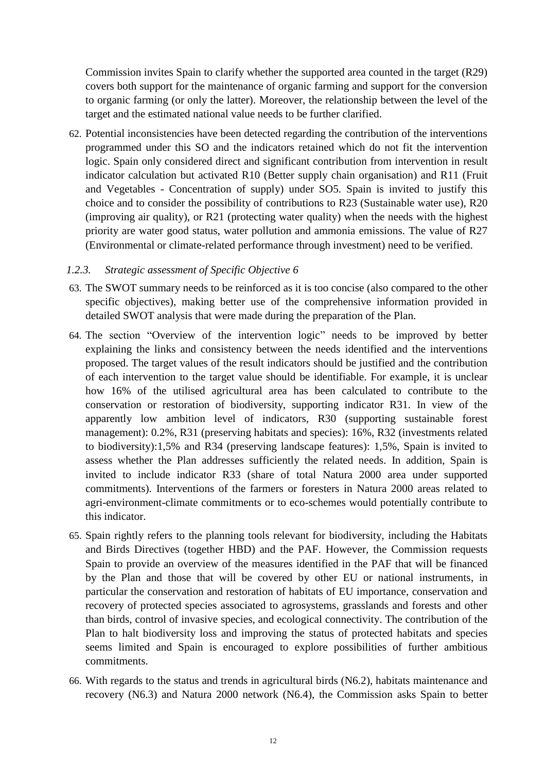Commission invites Spain to clarify whether the supported area counted in the target (R29) covers both support for the maintenance of organic farming and support for the conversion to organic farming (or only the latter). Moreover, the relationship between the level of the target and the estimated national value needs to be further clarified.

62. Potential inconsistencies have been detected regarding the contribution of the interventions programmed under this SO and the indicators retained which do not fit the intervention logic. Spain only considered direct and significant contribution from intervention in result indicator calculation but activated R10 (Better supply chain organisation) and R11 (Fruit and Vegetables - Concentration of supply) under SO5. Spain is invited to justify this choice and to consider the possibility of contributions to R23 (Sustainable water use), R20 (improving air quality), or R21 (protecting water quality) when the needs with the highest priority are water good status, water pollution and ammonia emissions. The value of R27 (Environmental or climate-related performance through investment) need to be verified.

#### *1.2.3. Strategic assessment of Specific Objective 6*

- 63. The SWOT summary needs to be reinforced as it is too concise (also compared to the other specific objectives), making better use of the comprehensive information provided in detailed SWOT analysis that were made during the preparation of the Plan.
- 64. The section "Overview of the intervention logic" needs to be improved by better explaining the links and consistency between the needs identified and the interventions proposed. The target values of the result indicators should be justified and the contribution of each intervention to the target value should be identifiable. For example, it is unclear how 16% of the utilised agricultural area has been calculated to contribute to the conservation or restoration of biodiversity, supporting indicator R31. In view of the apparently low ambition level of indicators, R30 (supporting sustainable forest management): 0.2%, R31 (preserving habitats and species): 16%, R32 (investments related to biodiversity):1,5% and R34 (preserving landscape features): 1,5%, Spain is invited to assess whether the Plan addresses sufficiently the related needs. In addition, Spain is invited to include indicator R33 (share of total Natura 2000 area under supported commitments). Interventions of the farmers or foresters in Natura 2000 areas related to agri-environment-climate commitments or to eco-schemes would potentially contribute to this indicator.
- 65. Spain rightly refers to the planning tools relevant for biodiversity, including the Habitats and Birds Directives (together HBD) and the PAF. However, the Commission requests Spain to provide an overview of the measures identified in the PAF that will be financed by the Plan and those that will be covered by other EU or national instruments, in particular the conservation and restoration of habitats of EU importance, conservation and recovery of protected species associated to agrosystems, grasslands and forests and other than birds, control of invasive species, and ecological connectivity. The contribution of the Plan to halt biodiversity loss and improving the status of protected habitats and species seems limited and Spain is encouraged to explore possibilities of further ambitious commitments.
- 66. With regards to the status and trends in agricultural birds (N6.2), habitats maintenance and recovery (N6.3) and Natura 2000 network (N6.4), the Commission asks Spain to better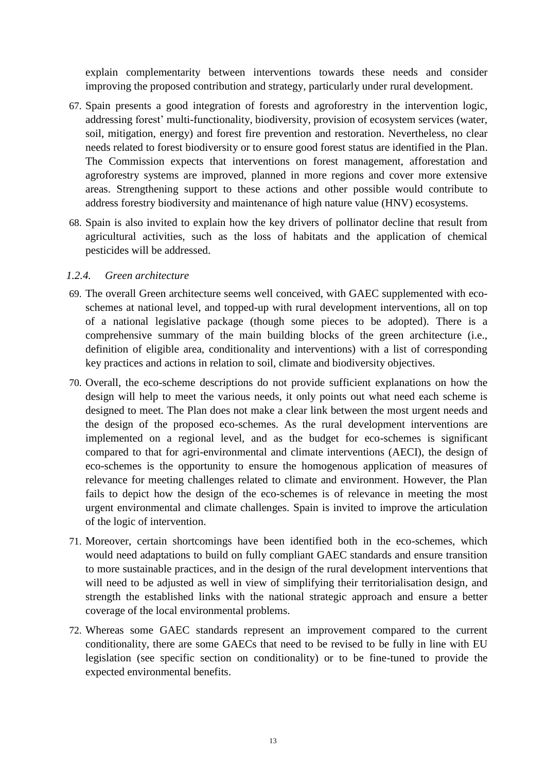explain complementarity between interventions towards these needs and consider improving the proposed contribution and strategy, particularly under rural development.

- 67. Spain presents a good integration of forests and agroforestry in the intervention logic, addressing forest' multi-functionality, biodiversity, provision of ecosystem services (water, soil, mitigation, energy) and forest fire prevention and restoration. Nevertheless, no clear needs related to forest biodiversity or to ensure good forest status are identified in the Plan. The Commission expects that interventions on forest management, afforestation and agroforestry systems are improved, planned in more regions and cover more extensive areas. Strengthening support to these actions and other possible would contribute to address forestry biodiversity and maintenance of high nature value (HNV) ecosystems.
- 68. Spain is also invited to explain how the key drivers of pollinator decline that result from agricultural activities, such as the loss of habitats and the application of chemical pesticides will be addressed.

#### *1.2.4. Green architecture*

- 69. The overall Green architecture seems well conceived, with GAEC supplemented with ecoschemes at national level, and topped-up with rural development interventions, all on top of a national legislative package (though some pieces to be adopted). There is a comprehensive summary of the main building blocks of the green architecture (i.e., definition of eligible area, conditionality and interventions) with a list of corresponding key practices and actions in relation to soil, climate and biodiversity objectives.
- 70. Overall, the eco-scheme descriptions do not provide sufficient explanations on how the design will help to meet the various needs, it only points out what need each scheme is designed to meet. The Plan does not make a clear link between the most urgent needs and the design of the proposed eco-schemes. As the rural development interventions are implemented on a regional level, and as the budget for eco-schemes is significant compared to that for agri-environmental and climate interventions (AECI), the design of eco-schemes is the opportunity to ensure the homogenous application of measures of relevance for meeting challenges related to climate and environment. However, the Plan fails to depict how the design of the eco-schemes is of relevance in meeting the most urgent environmental and climate challenges. Spain is invited to improve the articulation of the logic of intervention.
- 71. Moreover, certain shortcomings have been identified both in the eco-schemes, which would need adaptations to build on fully compliant GAEC standards and ensure transition to more sustainable practices, and in the design of the rural development interventions that will need to be adjusted as well in view of simplifying their territorialisation design, and strength the established links with the national strategic approach and ensure a better coverage of the local environmental problems.
- 72. Whereas some GAEC standards represent an improvement compared to the current conditionality, there are some GAECs that need to be revised to be fully in line with EU legislation (see specific section on conditionality) or to be fine-tuned to provide the expected environmental benefits.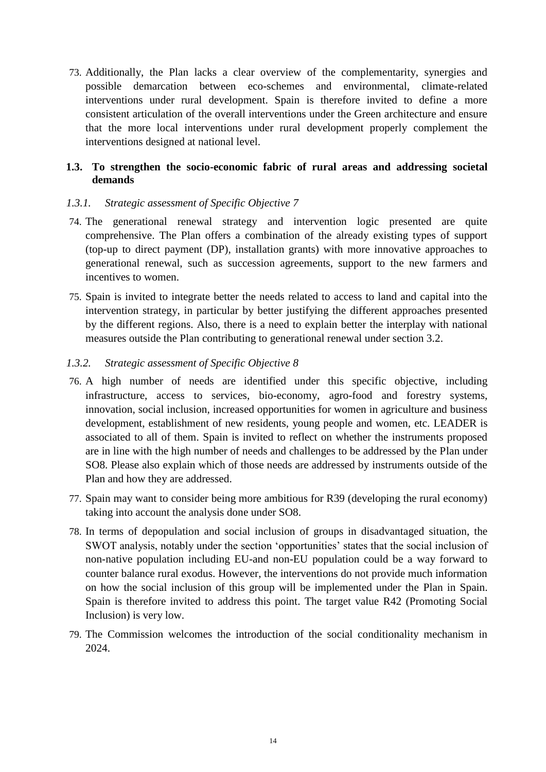73. Additionally, the Plan lacks a clear overview of the complementarity, synergies and possible demarcation between eco-schemes and environmental, climate-related interventions under rural development. Spain is therefore invited to define a more consistent articulation of the overall interventions under the Green architecture and ensure that the more local interventions under rural development properly complement the interventions designed at national level.

# **1.3. To strengthen the socio-economic fabric of rural areas and addressing societal demands**

## *1.3.1. Strategic assessment of Specific Objective 7*

- 74. The generational renewal strategy and intervention logic presented are quite comprehensive. The Plan offers a combination of the already existing types of support (top-up to direct payment (DP), installation grants) with more innovative approaches to generational renewal, such as succession agreements, support to the new farmers and incentives to women.
- 75. Spain is invited to integrate better the needs related to access to land and capital into the intervention strategy, in particular by better justifying the different approaches presented by the different regions. Also, there is a need to explain better the interplay with national measures outside the Plan contributing to generational renewal under section 3.2.

## *1.3.2. Strategic assessment of Specific Objective 8*

- 76. A high number of needs are identified under this specific objective, including infrastructure, access to services, bio-economy, agro-food and forestry systems, innovation, social inclusion, increased opportunities for women in agriculture and business development, establishment of new residents, young people and women, etc. LEADER is associated to all of them. Spain is invited to reflect on whether the instruments proposed are in line with the high number of needs and challenges to be addressed by the Plan under SO8. Please also explain which of those needs are addressed by instruments outside of the Plan and how they are addressed.
- 77. Spain may want to consider being more ambitious for R39 (developing the rural economy) taking into account the analysis done under SO8.
- 78. In terms of depopulation and social inclusion of groups in disadvantaged situation, the SWOT analysis, notably under the section 'opportunities' states that the social inclusion of non-native population including EU-and non-EU population could be a way forward to counter balance rural exodus. However, the interventions do not provide much information on how the social inclusion of this group will be implemented under the Plan in Spain. Spain is therefore invited to address this point. The target value R42 (Promoting Social Inclusion) is very low.
- 79. The Commission welcomes the introduction of the social conditionality mechanism in 2024.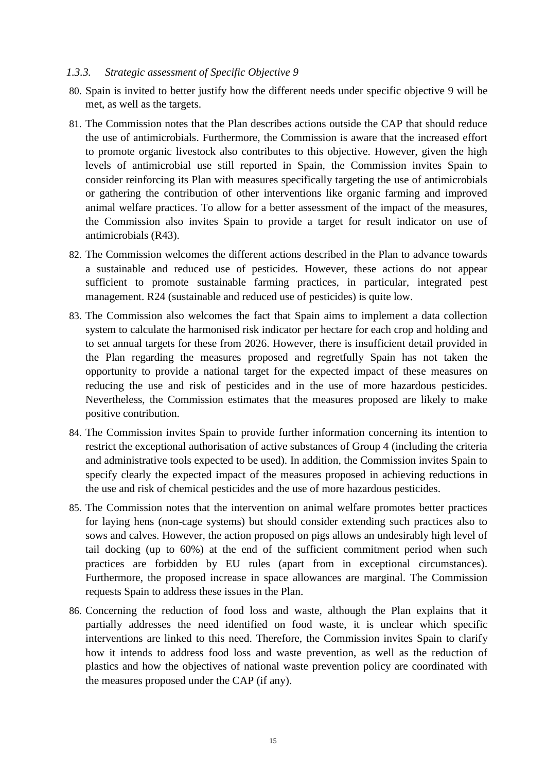#### *1.3.3. Strategic assessment of Specific Objective 9*

- 80. Spain is invited to better justify how the different needs under specific objective 9 will be met, as well as the targets.
- 81. The Commission notes that the Plan describes actions outside the CAP that should reduce the use of antimicrobials. Furthermore, the Commission is aware that the increased effort to promote organic livestock also contributes to this objective. However, given the high levels of antimicrobial use still reported in Spain, the Commission invites Spain to consider reinforcing its Plan with measures specifically targeting the use of antimicrobials or gathering the contribution of other interventions like organic farming and improved animal welfare practices. To allow for a better assessment of the impact of the measures, the Commission also invites Spain to provide a target for result indicator on use of antimicrobials (R43).
- 82. The Commission welcomes the different actions described in the Plan to advance towards a sustainable and reduced use of pesticides. However, these actions do not appear sufficient to promote sustainable farming practices, in particular, integrated pest management. R24 (sustainable and reduced use of pesticides) is quite low.
- 83. The Commission also welcomes the fact that Spain aims to implement a data collection system to calculate the harmonised risk indicator per hectare for each crop and holding and to set annual targets for these from 2026. However, there is insufficient detail provided in the Plan regarding the measures proposed and regretfully Spain has not taken the opportunity to provide a national target for the expected impact of these measures on reducing the use and risk of pesticides and in the use of more hazardous pesticides. Nevertheless, the Commission estimates that the measures proposed are likely to make positive contribution.
- 84. The Commission invites Spain to provide further information concerning its intention to restrict the exceptional authorisation of active substances of Group 4 (including the criteria and administrative tools expected to be used). In addition, the Commission invites Spain to specify clearly the expected impact of the measures proposed in achieving reductions in the use and risk of chemical pesticides and the use of more hazardous pesticides.
- 85. The Commission notes that the intervention on animal welfare promotes better practices for laying hens (non-cage systems) but should consider extending such practices also to sows and calves. However, the action proposed on pigs allows an undesirably high level of tail docking (up to 60%) at the end of the sufficient commitment period when such practices are forbidden by EU rules (apart from in exceptional circumstances). Furthermore, the proposed increase in space allowances are marginal. The Commission requests Spain to address these issues in the Plan.
- 86. Concerning the reduction of food loss and waste, although the Plan explains that it partially addresses the need identified on food waste, it is unclear which specific interventions are linked to this need. Therefore, the Commission invites Spain to clarify how it intends to address food loss and waste prevention, as well as the reduction of plastics and how the objectives of national waste prevention policy are coordinated with the measures proposed under the CAP (if any).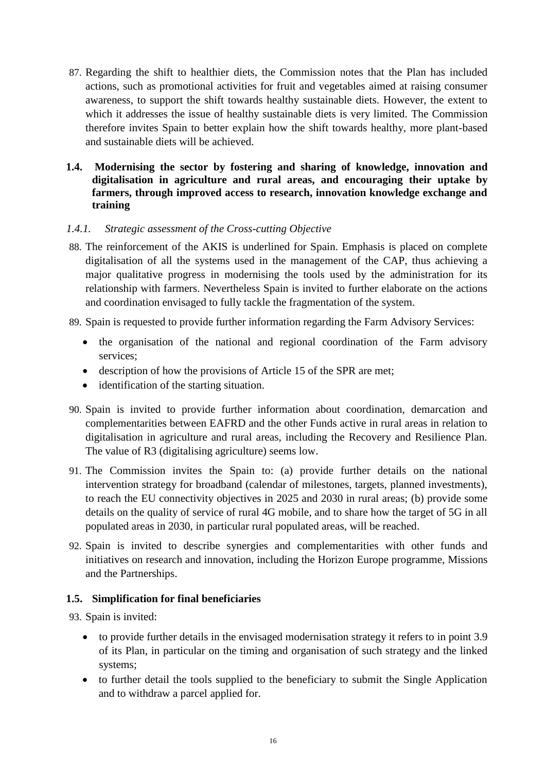- 87. Regarding the shift to healthier diets, the Commission notes that the Plan has included actions, such as promotional activities for fruit and vegetables aimed at raising consumer awareness, to support the shift towards healthy sustainable diets. However, the extent to which it addresses the issue of healthy sustainable diets is very limited. The Commission therefore invites Spain to better explain how the shift towards healthy, more plant-based and sustainable diets will be achieved.
- **1.4. Modernising the sector by fostering and sharing of knowledge, innovation and digitalisation in agriculture and rural areas, and encouraging their uptake by farmers, through improved access to research, innovation knowledge exchange and training**

## *1.4.1. Strategic assessment of the Cross-cutting Objective*

88. The reinforcement of the AKIS is underlined for Spain. Emphasis is placed on complete digitalisation of all the systems used in the management of the CAP, thus achieving a major qualitative progress in modernising the tools used by the administration for its relationship with farmers. Nevertheless Spain is invited to further elaborate on the actions and coordination envisaged to fully tackle the fragmentation of the system.

89. Spain is requested to provide further information regarding the Farm Advisory Services:

- the organisation of the national and regional coordination of the Farm advisory services;
- description of how the provisions of Article 15 of the SPR are met;
- identification of the starting situation.
- 90. Spain is invited to provide further information about coordination, demarcation and complementarities between EAFRD and the other Funds active in rural areas in relation to digitalisation in agriculture and rural areas, including the Recovery and Resilience Plan. The value of R3 (digitalising agriculture) seems low.
- 91. The Commission invites the Spain to: (a) provide further details on the national intervention strategy for broadband (calendar of milestones, targets, planned investments), to reach the EU connectivity objectives in 2025 and 2030 in rural areas; (b) provide some details on the quality of service of rural 4G mobile, and to share how the target of 5G in all populated areas in 2030, in particular rural populated areas, will be reached.
- 92. Spain is invited to describe synergies and complementarities with other funds and initiatives on research and innovation, including the Horizon Europe programme, Missions and the Partnerships.

## **1.5. Simplification for final beneficiaries**

93. Spain is invited:

- to provide further details in the envisaged modernisation strategy it refers to in point 3.9 of its Plan, in particular on the timing and organisation of such strategy and the linked systems;
- to further detail the tools supplied to the beneficiary to submit the Single Application and to withdraw a parcel applied for.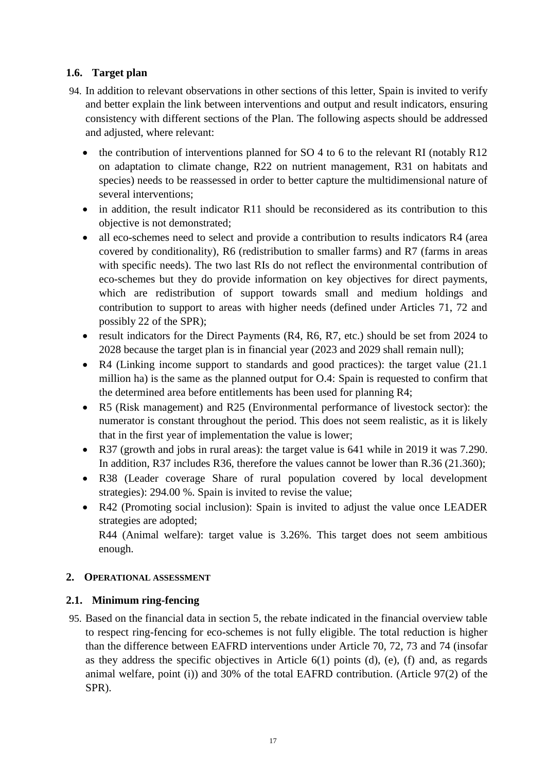# **1.6. Target plan**

- 94. In addition to relevant observations in other sections of this letter, Spain is invited to verify and better explain the link between interventions and output and result indicators, ensuring consistency with different sections of the Plan. The following aspects should be addressed and adjusted, where relevant:
	- $\bullet$  the contribution of interventions planned for SO 4 to 6 to the relevant RI (notably R12) on adaptation to climate change, R22 on nutrient management, R31 on habitats and species) needs to be reassessed in order to better capture the multidimensional nature of several interventions;
	- in addition, the result indicator R11 should be reconsidered as its contribution to this objective is not demonstrated;
	- all eco-schemes need to select and provide a contribution to results indicators R4 (area covered by conditionality), R6 (redistribution to smaller farms) and R7 (farms in areas with specific needs). The two last RIs do not reflect the environmental contribution of eco-schemes but they do provide information on key objectives for direct payments, which are redistribution of support towards small and medium holdings and contribution to support to areas with higher needs (defined under Articles 71, 72 and possibly 22 of the SPR);
	- result indicators for the Direct Payments (R4, R6, R7, etc.) should be set from 2024 to 2028 because the target plan is in financial year (2023 and 2029 shall remain null);
	- R4 (Linking income support to standards and good practices): the target value (21.1) million ha) is the same as the planned output for O.4: Spain is requested to confirm that the determined area before entitlements has been used for planning R4;
	- R5 (Risk management) and R25 (Environmental performance of livestock sector): the numerator is constant throughout the period. This does not seem realistic, as it is likely that in the first year of implementation the value is lower;
	- R37 (growth and jobs in rural areas): the target value is 641 while in 2019 it was 7.290. In addition, R37 includes R36, therefore the values cannot be lower than R.36 (21.360);
	- R38 (Leader coverage Share of rural population covered by local development strategies): 294.00 %. Spain is invited to revise the value;
	- R42 (Promoting social inclusion): Spain is invited to adjust the value once LEADER strategies are adopted;

R44 (Animal welfare): target value is 3.26%. This target does not seem ambitious enough.

## **2. OPERATIONAL ASSESSMENT**

## **2.1. Minimum ring-fencing**

95. Based on the financial data in section 5, the rebate indicated in the financial overview table to respect ring-fencing for eco-schemes is not fully eligible. The total reduction is higher than the difference between EAFRD interventions under Article 70, 72, 73 and 74 (insofar as they address the specific objectives in Article  $6(1)$  points  $(d)$ ,  $(e)$ ,  $(f)$  and, as regards animal welfare, point (i)) and 30% of the total EAFRD contribution. (Article 97(2) of the SPR).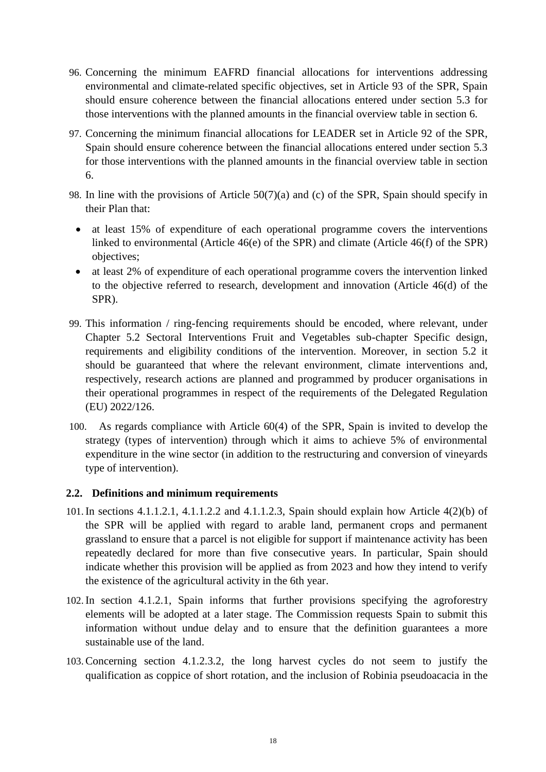- 96. Concerning the minimum EAFRD financial allocations for interventions addressing environmental and climate-related specific objectives, set in Article 93 of the SPR, Spain should ensure coherence between the financial allocations entered under section 5.3 for those interventions with the planned amounts in the financial overview table in section 6.
- 97. Concerning the minimum financial allocations for LEADER set in Article 92 of the SPR, Spain should ensure coherence between the financial allocations entered under section 5.3 for those interventions with the planned amounts in the financial overview table in section 6.
- 98. In line with the provisions of Article 50(7)(a) and (c) of the SPR, Spain should specify in their Plan that:
	- at least 15% of expenditure of each operational programme covers the interventions linked to environmental (Article 46(e) of the SPR) and climate (Article 46(f) of the SPR) objectives;
	- at least 2% of expenditure of each operational programme covers the intervention linked to the objective referred to research, development and innovation (Article 46(d) of the SPR).
- 99. This information / ring-fencing requirements should be encoded, where relevant, under Chapter 5.2 Sectoral Interventions Fruit and Vegetables sub-chapter Specific design, requirements and eligibility conditions of the intervention. Moreover, in section 5.2 it should be guaranteed that where the relevant environment, climate interventions and, respectively, research actions are planned and programmed by producer organisations in their operational programmes in respect of the requirements of the Delegated Regulation (EU) 2022/126.
- 100. As regards compliance with Article 60(4) of the SPR, Spain is invited to develop the strategy (types of intervention) through which it aims to achieve 5% of environmental expenditure in the wine sector (in addition to the restructuring and conversion of vineyards type of intervention).

## **2.2. Definitions and minimum requirements**

- 101.In sections 4.1.1.2.1, 4.1.1.2.2 and 4.1.1.2.3, Spain should explain how Article 4(2)(b) of the SPR will be applied with regard to arable land, permanent crops and permanent grassland to ensure that a parcel is not eligible for support if maintenance activity has been repeatedly declared for more than five consecutive years. In particular, Spain should indicate whether this provision will be applied as from 2023 and how they intend to verify the existence of the agricultural activity in the 6th year.
- 102.In section 4.1.2.1, Spain informs that further provisions specifying the agroforestry elements will be adopted at a later stage. The Commission requests Spain to submit this information without undue delay and to ensure that the definition guarantees a more sustainable use of the land.
- 103.Concerning section 4.1.2.3.2, the long harvest cycles do not seem to justify the qualification as coppice of short rotation, and the inclusion of Robinia pseudoacacia in the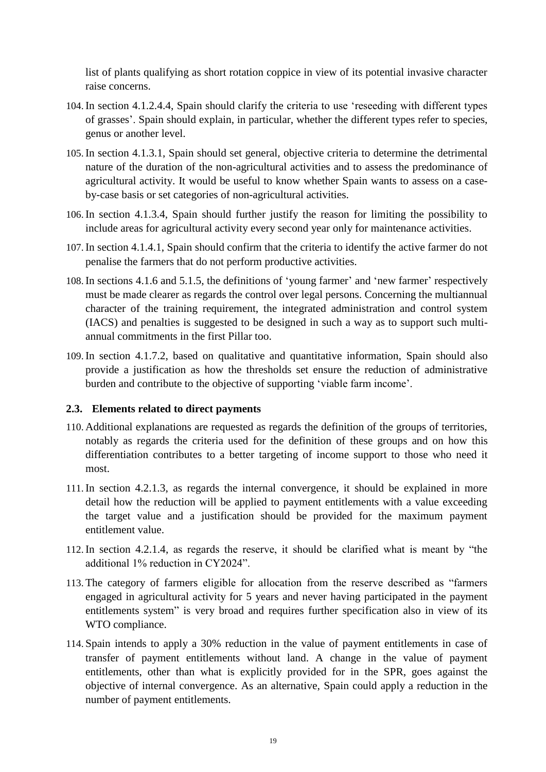list of plants qualifying as short rotation coppice in view of its potential invasive character raise concerns.

- 104.In section 4.1.2.4.4, Spain should clarify the criteria to use 'reseeding with different types of grasses'. Spain should explain, in particular, whether the different types refer to species, genus or another level.
- 105.In section 4.1.3.1, Spain should set general, objective criteria to determine the detrimental nature of the duration of the non-agricultural activities and to assess the predominance of agricultural activity. It would be useful to know whether Spain wants to assess on a caseby-case basis or set categories of non-agricultural activities.
- 106.In section 4.1.3.4, Spain should further justify the reason for limiting the possibility to include areas for agricultural activity every second year only for maintenance activities.
- 107.In section 4.1.4.1, Spain should confirm that the criteria to identify the active farmer do not penalise the farmers that do not perform productive activities.
- 108.In sections 4.1.6 and 5.1.5, the definitions of 'young farmer' and 'new farmer' respectively must be made clearer as regards the control over legal persons. Concerning the multiannual character of the training requirement, the integrated administration and control system (IACS) and penalties is suggested to be designed in such a way as to support such multiannual commitments in the first Pillar too.
- 109.In section 4.1.7.2, based on qualitative and quantitative information, Spain should also provide a justification as how the thresholds set ensure the reduction of administrative burden and contribute to the objective of supporting 'viable farm income'.

#### **2.3. Elements related to direct payments**

- 110. Additional explanations are requested as regards the definition of the groups of territories, notably as regards the criteria used for the definition of these groups and on how this differentiation contributes to a better targeting of income support to those who need it most.
- 111.In section 4.2.1.3, as regards the internal convergence, it should be explained in more detail how the reduction will be applied to payment entitlements with a value exceeding the target value and a justification should be provided for the maximum payment entitlement value.
- 112.In section 4.2.1.4, as regards the reserve, it should be clarified what is meant by "the additional 1% reduction in CY2024".
- 113. The category of farmers eligible for allocation from the reserve described as "farmers engaged in agricultural activity for 5 years and never having participated in the payment entitlements system" is very broad and requires further specification also in view of its WTO compliance.
- 114. Spain intends to apply a 30% reduction in the value of payment entitlements in case of transfer of payment entitlements without land. A change in the value of payment entitlements, other than what is explicitly provided for in the SPR, goes against the objective of internal convergence. As an alternative, Spain could apply a reduction in the number of payment entitlements.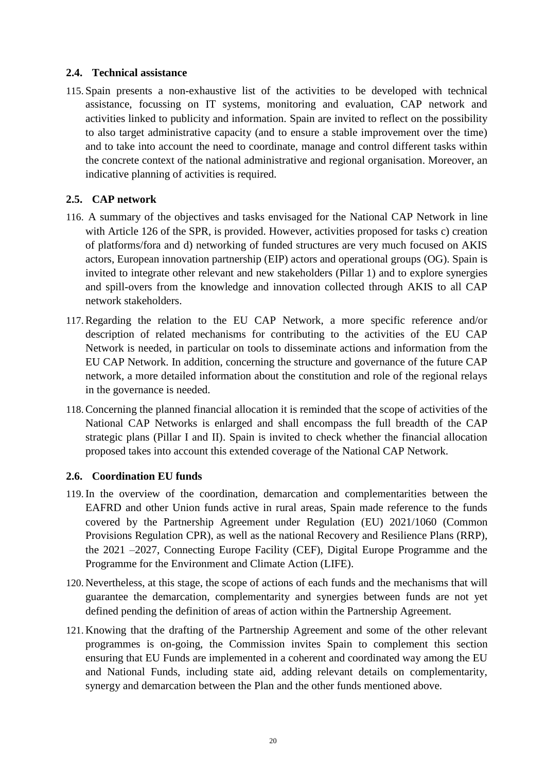## **2.4. Technical assistance**

115. Spain presents a non-exhaustive list of the activities to be developed with technical assistance, focussing on IT systems, monitoring and evaluation, CAP network and activities linked to publicity and information. Spain are invited to reflect on the possibility to also target administrative capacity (and to ensure a stable improvement over the time) and to take into account the need to coordinate, manage and control different tasks within the concrete context of the national administrative and regional organisation. Moreover, an indicative planning of activities is required.

# **2.5. CAP network**

- 116. A summary of the objectives and tasks envisaged for the National CAP Network in line with Article 126 of the SPR, is provided. However, activities proposed for tasks c) creation of platforms/fora and d) networking of funded structures are very much focused on AKIS actors, European innovation partnership (EIP) actors and operational groups (OG). Spain is invited to integrate other relevant and new stakeholders (Pillar 1) and to explore synergies and spill-overs from the knowledge and innovation collected through AKIS to all CAP network stakeholders.
- 117.Regarding the relation to the EU CAP Network, a more specific reference and/or description of related mechanisms for contributing to the activities of the EU CAP Network is needed, in particular on tools to disseminate actions and information from the EU CAP Network. In addition, concerning the structure and governance of the future CAP network, a more detailed information about the constitution and role of the regional relays in the governance is needed.
- 118.Concerning the planned financial allocation it is reminded that the scope of activities of the National CAP Networks is enlarged and shall encompass the full breadth of the CAP strategic plans (Pillar I and II). Spain is invited to check whether the financial allocation proposed takes into account this extended coverage of the National CAP Network.

## **2.6. Coordination EU funds**

- 119.In the overview of the coordination, demarcation and complementarities between the EAFRD and other Union funds active in rural areas, Spain made reference to the funds covered by the Partnership Agreement under Regulation (EU) 2021/1060 (Common Provisions Regulation CPR), as well as the national Recovery and Resilience Plans (RRP), the 2021 –2027, Connecting Europe Facility (CEF), Digital Europe Programme and the Programme for the Environment and Climate Action (LIFE).
- 120. Nevertheless, at this stage, the scope of actions of each funds and the mechanisms that will guarantee the demarcation, complementarity and synergies between funds are not yet defined pending the definition of areas of action within the Partnership Agreement.
- 121. Knowing that the drafting of the Partnership Agreement and some of the other relevant programmes is on-going, the Commission invites Spain to complement this section ensuring that EU Funds are implemented in a coherent and coordinated way among the EU and National Funds, including state aid, adding relevant details on complementarity, synergy and demarcation between the Plan and the other funds mentioned above.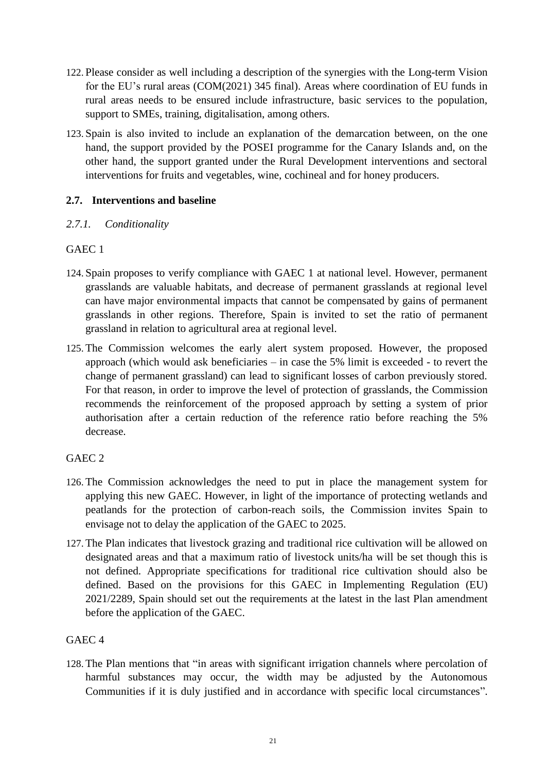- 122. Please consider as well including a description of the synergies with the Long-term Vision for the EU's rural areas (COM(2021) 345 final). Areas where coordination of EU funds in rural areas needs to be ensured include infrastructure, basic services to the population, support to SMEs, training, digitalisation, among others.
- 123. Spain is also invited to include an explanation of the demarcation between, on the one hand, the support provided by the POSEI programme for the Canary Islands and, on the other hand, the support granted under the Rural Development interventions and sectoral interventions for fruits and vegetables, wine, cochineal and for honey producers.

## **2.7. Interventions and baseline**

## *2.7.1. Conditionality*

## GAEC 1

- 124. Spain proposes to verify compliance with GAEC 1 at national level. However, permanent grasslands are valuable habitats, and decrease of permanent grasslands at regional level can have major environmental impacts that cannot be compensated by gains of permanent grasslands in other regions. Therefore, Spain is invited to set the ratio of permanent grassland in relation to agricultural area at regional level.
- 125. The Commission welcomes the early alert system proposed. However, the proposed approach (which would ask beneficiaries – in case the 5% limit is exceeded - to revert the change of permanent grassland) can lead to significant losses of carbon previously stored. For that reason, in order to improve the level of protection of grasslands, the Commission recommends the reinforcement of the proposed approach by setting a system of prior authorisation after a certain reduction of the reference ratio before reaching the 5% decrease.

## GAEC<sub>2</sub>

- 126. The Commission acknowledges the need to put in place the management system for applying this new GAEC. However, in light of the importance of protecting wetlands and peatlands for the protection of carbon-reach soils, the Commission invites Spain to envisage not to delay the application of the GAEC to 2025.
- 127. The Plan indicates that livestock grazing and traditional rice cultivation will be allowed on designated areas and that a maximum ratio of livestock units/ha will be set though this is not defined. Appropriate specifications for traditional rice cultivation should also be defined. Based on the provisions for this GAEC in Implementing Regulation (EU) 2021/2289, Spain should set out the requirements at the latest in the last Plan amendment before the application of the GAEC.

#### GAEC 4

128. The Plan mentions that "in areas with significant irrigation channels where percolation of harmful substances may occur, the width may be adjusted by the Autonomous Communities if it is duly justified and in accordance with specific local circumstances".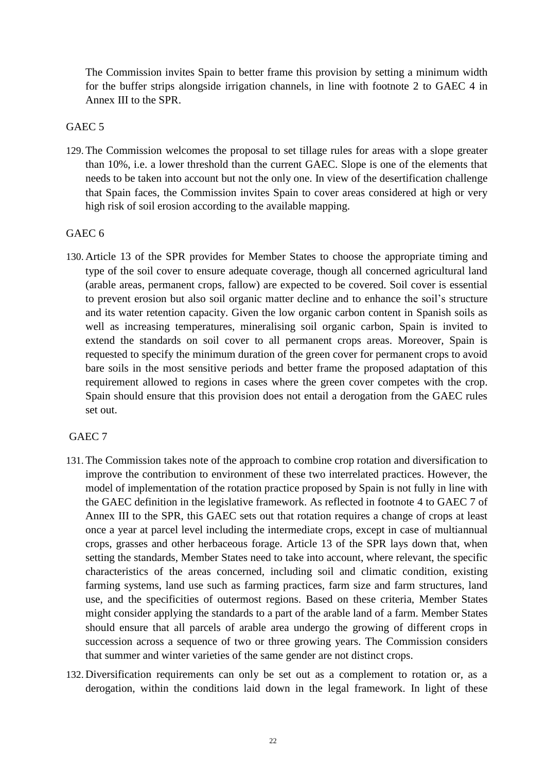The Commission invites Spain to better frame this provision by setting a minimum width for the buffer strips alongside irrigation channels, in line with footnote 2 to GAEC 4 in Annex III to the SPR.

## GAEC<sub>5</sub>

129. The Commission welcomes the proposal to set tillage rules for areas with a slope greater than 10%, i.e. a lower threshold than the current GAEC. Slope is one of the elements that needs to be taken into account but not the only one. In view of the desertification challenge that Spain faces, the Commission invites Spain to cover areas considered at high or very high risk of soil erosion according to the available mapping.

## GAEC 6

130. Article 13 of the SPR provides for Member States to choose the appropriate timing and type of the soil cover to ensure adequate coverage, though all concerned agricultural land (arable areas, permanent crops, fallow) are expected to be covered. Soil cover is essential to prevent erosion but also soil organic matter decline and to enhance the soil's structure and its water retention capacity. Given the low organic carbon content in Spanish soils as well as increasing temperatures, mineralising soil organic carbon, Spain is invited to extend the standards on soil cover to all permanent crops areas. Moreover, Spain is requested to specify the minimum duration of the green cover for permanent crops to avoid bare soils in the most sensitive periods and better frame the proposed adaptation of this requirement allowed to regions in cases where the green cover competes with the crop. Spain should ensure that this provision does not entail a derogation from the GAEC rules set out.

## GAEC 7

- 131. The Commission takes note of the approach to combine crop rotation and diversification to improve the contribution to environment of these two interrelated practices. However, the model of implementation of the rotation practice proposed by Spain is not fully in line with the GAEC definition in the legislative framework. As reflected in footnote 4 to GAEC 7 of Annex III to the SPR, this GAEC sets out that rotation requires a change of crops at least once a year at parcel level including the intermediate crops, except in case of multiannual crops, grasses and other herbaceous forage. Article 13 of the SPR lays down that, when setting the standards, Member States need to take into account, where relevant, the specific characteristics of the areas concerned, including soil and climatic condition, existing farming systems, land use such as farming practices, farm size and farm structures, land use, and the specificities of outermost regions. Based on these criteria, Member States might consider applying the standards to a part of the arable land of a farm. Member States should ensure that all parcels of arable area undergo the growing of different crops in succession across a sequence of two or three growing years. The Commission considers that summer and winter varieties of the same gender are not distinct crops.
- 132. Diversification requirements can only be set out as a complement to rotation or, as a derogation, within the conditions laid down in the legal framework. In light of these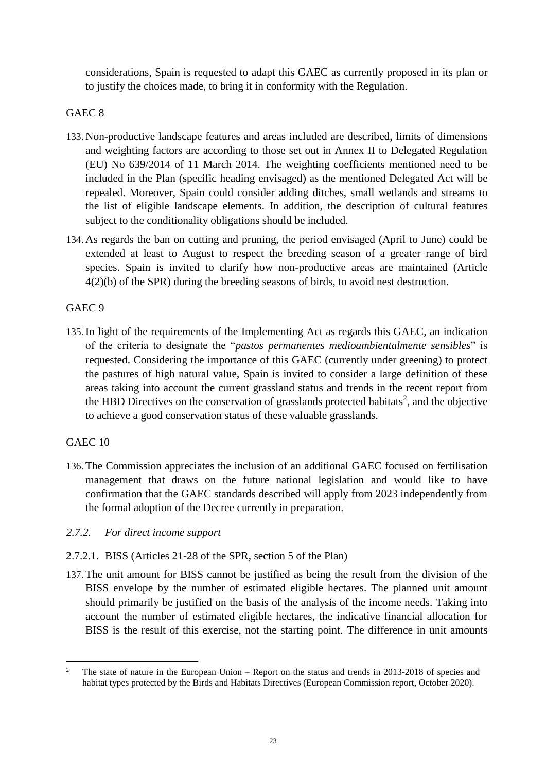considerations, Spain is requested to adapt this GAEC as currently proposed in its plan or to justify the choices made, to bring it in conformity with the Regulation.

# GAEC 8

- 133. Non-productive landscape features and areas included are described, limits of dimensions and weighting factors are according to those set out in Annex II to Delegated Regulation (EU) No 639/2014 of 11 March 2014. The weighting coefficients mentioned need to be included in the Plan (specific heading envisaged) as the mentioned Delegated Act will be repealed. Moreover, Spain could consider adding ditches, small wetlands and streams to the list of eligible landscape elements. In addition, the description of cultural features subject to the conditionality obligations should be included.
- 134. As regards the ban on cutting and pruning, the period envisaged (April to June) could be extended at least to August to respect the breeding season of a greater range of bird species. Spain is invited to clarify how non-productive areas are maintained (Article 4(2)(b) of the SPR) during the breeding seasons of birds, to avoid nest destruction.

# GAEC 9

135.In light of the requirements of the Implementing Act as regards this GAEC, an indication of the criteria to designate the "*pastos permanentes medioambientalmente sensibles*" is requested. Considering the importance of this GAEC (currently under greening) to protect the pastures of high natural value, Spain is invited to consider a large definition of these areas taking into account the current grassland status and trends in the recent report from the HBD Directives on the conservation of grasslands protected habitats<sup>2</sup>, and the objective to achieve a good conservation status of these valuable grasslands.

## GAEC 10

1

136. The Commission appreciates the inclusion of an additional GAEC focused on fertilisation management that draws on the future national legislation and would like to have confirmation that the GAEC standards described will apply from 2023 independently from the formal adoption of the Decree currently in preparation.

## *2.7.2. For direct income support*

- 2.7.2.1. BISS (Articles 21-28 of the SPR, section 5 of the Plan)
- 137. The unit amount for BISS cannot be justified as being the result from the division of the BISS envelope by the number of estimated eligible hectares. The planned unit amount should primarily be justified on the basis of the analysis of the income needs. Taking into account the number of estimated eligible hectares, the indicative financial allocation for BISS is the result of this exercise, not the starting point. The difference in unit amounts

<sup>&</sup>lt;sup>2</sup> The state of nature in the European Union – Report on the status and trends in [2013-2018](https://eur-lex.europa.eu/legal-content/EN/TXT/?uri=COM:2020:635:FIN) of species and habitat types protected by the Birds and Habitats Directives (European [Commission](https://eur-lex.europa.eu/legal-content/EN/TXT/?uri=COM:2020:635:FIN) report, October 2020).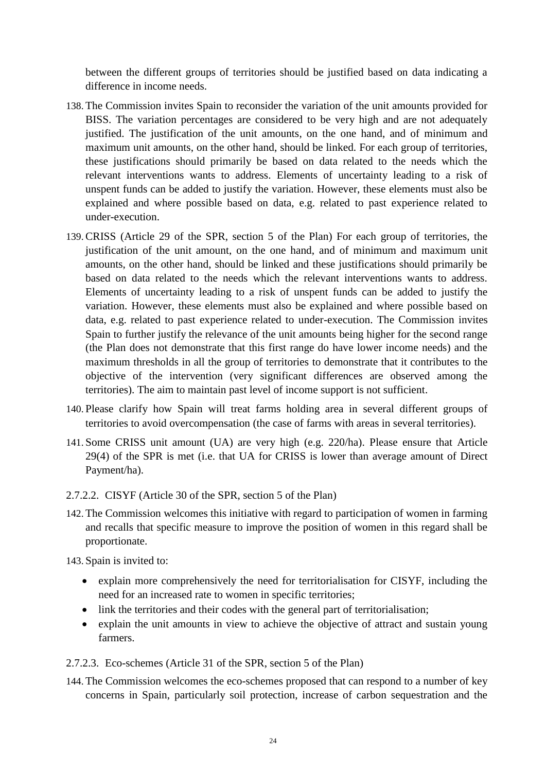between the different groups of territories should be justified based on data indicating a difference in income needs.

- 138. The Commission invites Spain to reconsider the variation of the unit amounts provided for BISS. The variation percentages are considered to be very high and are not adequately justified. The justification of the unit amounts, on the one hand, and of minimum and maximum unit amounts, on the other hand, should be linked. For each group of territories, these justifications should primarily be based on data related to the needs which the relevant interventions wants to address. Elements of uncertainty leading to a risk of unspent funds can be added to justify the variation. However, these elements must also be explained and where possible based on data, e.g. related to past experience related to under-execution.
- 139.CRISS (Article 29 of the SPR, section 5 of the Plan) For each group of territories, the justification of the unit amount, on the one hand, and of minimum and maximum unit amounts, on the other hand, should be linked and these justifications should primarily be based on data related to the needs which the relevant interventions wants to address. Elements of uncertainty leading to a risk of unspent funds can be added to justify the variation. However, these elements must also be explained and where possible based on data, e.g. related to past experience related to under-execution. The Commission invites Spain to further justify the relevance of the unit amounts being higher for the second range (the Plan does not demonstrate that this first range do have lower income needs) and the maximum thresholds in all the group of territories to demonstrate that it contributes to the objective of the intervention (very significant differences are observed among the territories). The aim to maintain past level of income support is not sufficient.
- 140. Please clarify how Spain will treat farms holding area in several different groups of territories to avoid overcompensation (the case of farms with areas in several territories).
- 141. Some CRISS unit amount (UA) are very high (e.g. 220/ha). Please ensure that Article 29(4) of the SPR is met (i.e. that UA for CRISS is lower than average amount of Direct Payment/ha).

2.7.2.2. CISYF (Article 30 of the SPR, section 5 of the Plan)

142. The Commission welcomes this initiative with regard to participation of women in farming and recalls that specific measure to improve the position of women in this regard shall be proportionate.

143. Spain is invited to:

- explain more comprehensively the need for territorialisation for CISYF, including the need for an increased rate to women in specific territories;
- link the territories and their codes with the general part of territorialisation;
- explain the unit amounts in view to achieve the objective of attract and sustain young farmers.

2.7.2.3. Eco-schemes (Article 31 of the SPR, section 5 of the Plan)

144. The Commission welcomes the eco-schemes proposed that can respond to a number of key concerns in Spain, particularly soil protection, increase of carbon sequestration and the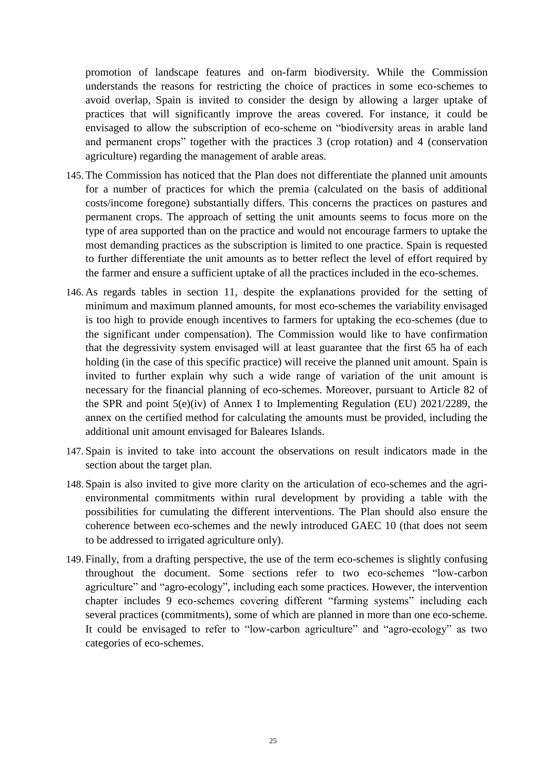promotion of landscape features and on-farm biodiversity. While the Commission understands the reasons for restricting the choice of practices in some eco-schemes to avoid overlap, Spain is invited to consider the design by allowing a larger uptake of practices that will significantly improve the areas covered. For instance, it could be envisaged to allow the subscription of eco-scheme on "biodiversity areas in arable land and permanent crops" together with the practices 3 (crop rotation) and 4 (conservation agriculture) regarding the management of arable areas.

- 145. The Commission has noticed that the Plan does not differentiate the planned unit amounts for a number of practices for which the premia (calculated on the basis of additional costs/income foregone) substantially differs. This concerns the practices on pastures and permanent crops. The approach of setting the unit amounts seems to focus more on the type of area supported than on the practice and would not encourage farmers to uptake the most demanding practices as the subscription is limited to one practice. Spain is requested to further differentiate the unit amounts as to better reflect the level of effort required by the farmer and ensure a sufficient uptake of all the practices included in the eco-schemes.
- 146. As regards tables in section 11, despite the explanations provided for the setting of minimum and maximum planned amounts, for most eco-schemes the variability envisaged is too high to provide enough incentives to farmers for uptaking the eco-schemes (due to the significant under compensation). The Commission would like to have confirmation that the degressivity system envisaged will at least guarantee that the first 65 ha of each holding (in the case of this specific practice) will receive the planned unit amount. Spain is invited to further explain why such a wide range of variation of the unit amount is necessary for the financial planning of eco-schemes. Moreover, pursuant to Article 82 of the SPR and point 5(e)(iv) of Annex I to Implementing Regulation (EU) 2021/2289, the annex on the certified method for calculating the amounts must be provided, including the additional unit amount envisaged for Baleares Islands.
- 147. Spain is invited to take into account the observations on result indicators made in the section about the target plan.
- 148. Spain is also invited to give more clarity on the articulation of eco-schemes and the agrienvironmental commitments within rural development by providing a table with the possibilities for cumulating the different interventions. The Plan should also ensure the coherence between eco-schemes and the newly introduced GAEC 10 (that does not seem to be addressed to irrigated agriculture only).
- 149. Finally, from a drafting perspective, the use of the term eco-schemes is slightly confusing throughout the document. Some sections refer to two eco-schemes "low-carbon agriculture" and "agro-ecology", including each some practices. However, the intervention chapter includes 9 eco-schemes covering different "farming systems" including each several practices (commitments), some of which are planned in more than one eco-scheme. It could be envisaged to refer to "low-carbon agriculture" and "agro-ecology" as two categories of eco-schemes.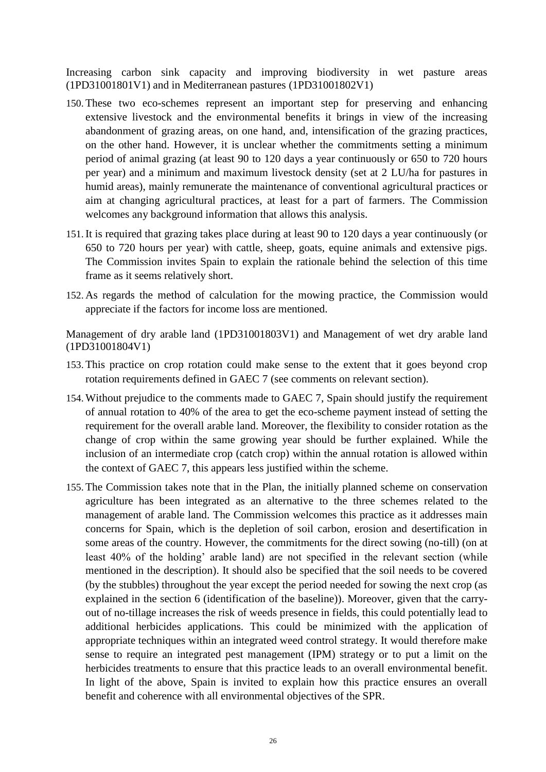Increasing carbon sink capacity and improving biodiversity in wet pasture areas (1PD31001801V1) and in Mediterranean pastures (1PD31001802V1)

- 150. These two eco-schemes represent an important step for preserving and enhancing extensive livestock and the environmental benefits it brings in view of the increasing abandonment of grazing areas, on one hand, and, intensification of the grazing practices, on the other hand. However, it is unclear whether the commitments setting a minimum period of animal grazing (at least 90 to 120 days a year continuously or 650 to 720 hours per year) and a minimum and maximum livestock density (set at 2 LU/ha for pastures in humid areas), mainly remunerate the maintenance of conventional agricultural practices or aim at changing agricultural practices, at least for a part of farmers. The Commission welcomes any background information that allows this analysis.
- 151.It is required that grazing takes place during at least 90 to 120 days a year continuously (or 650 to 720 hours per year) with cattle, sheep, goats, equine animals and extensive pigs. The Commission invites Spain to explain the rationale behind the selection of this time frame as it seems relatively short.
- 152. As regards the method of calculation for the mowing practice, the Commission would appreciate if the factors for income loss are mentioned.

Management of dry arable land (1PD31001803V1) and Management of wet dry arable land (1PD31001804V1)

- 153. This practice on crop rotation could make sense to the extent that it goes beyond crop rotation requirements defined in GAEC 7 (see comments on relevant section).
- 154. Without prejudice to the comments made to GAEC 7, Spain should justify the requirement of annual rotation to 40% of the area to get the eco-scheme payment instead of setting the requirement for the overall arable land. Moreover, the flexibility to consider rotation as the change of crop within the same growing year should be further explained. While the inclusion of an intermediate crop (catch crop) within the annual rotation is allowed within the context of GAEC 7, this appears less justified within the scheme.
- 155. The Commission takes note that in the Plan, the initially planned scheme on conservation agriculture has been integrated as an alternative to the three schemes related to the management of arable land. The Commission welcomes this practice as it addresses main concerns for Spain, which is the depletion of soil carbon, erosion and desertification in some areas of the country. However, the commitments for the direct sowing (no-till) (on at least 40% of the holding' arable land) are not specified in the relevant section (while mentioned in the description). It should also be specified that the soil needs to be covered (by the stubbles) throughout the year except the period needed for sowing the next crop (as explained in the section 6 (identification of the baseline)). Moreover, given that the carryout of no-tillage increases the risk of weeds presence in fields, this could potentially lead to additional herbicides applications. This could be minimized with the application of appropriate techniques within an integrated weed control strategy. It would therefore make sense to require an integrated pest management (IPM) strategy or to put a limit on the herbicides treatments to ensure that this practice leads to an overall environmental benefit. In light of the above, Spain is invited to explain how this practice ensures an overall benefit and coherence with all environmental objectives of the SPR.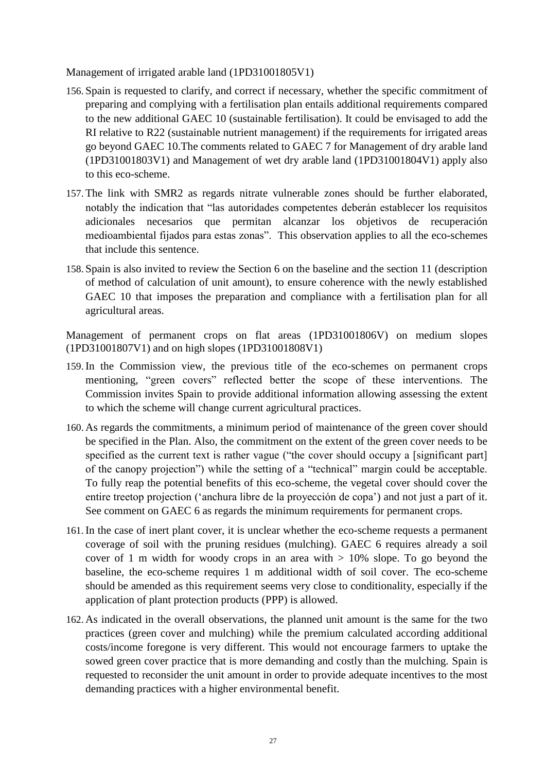Management of irrigated arable land (1PD31001805V1)

- 156. Spain is requested to clarify, and correct if necessary, whether the specific commitment of preparing and complying with a fertilisation plan entails additional requirements compared to the new additional GAEC 10 (sustainable fertilisation). It could be envisaged to add the RI relative to R22 (sustainable nutrient management) if the requirements for irrigated areas go beyond GAEC 10.The comments related to GAEC 7 for Management of dry arable land (1PD31001803V1) and Management of wet dry arable land (1PD31001804V1) apply also to this eco-scheme.
- 157. The link with SMR2 as regards nitrate vulnerable zones should be further elaborated, notably the indication that "las autoridades competentes deberán establecer los requisitos adicionales necesarios que permitan alcanzar los objetivos de recuperación medioambiental fijados para estas zonas". This observation applies to all the eco-schemes that include this sentence.
- 158. Spain is also invited to review the Section 6 on the baseline and the section 11 (description of method of calculation of unit amount), to ensure coherence with the newly established GAEC 10 that imposes the preparation and compliance with a fertilisation plan for all agricultural areas.

Management of permanent crops on flat areas (1PD31001806V) on medium slopes (1PD31001807V1) and on high slopes (1PD31001808V1)

- 159.In the Commission view, the previous title of the eco-schemes on permanent crops mentioning, "green covers" reflected better the scope of these interventions. The Commission invites Spain to provide additional information allowing assessing the extent to which the scheme will change current agricultural practices.
- 160. As regards the commitments, a minimum period of maintenance of the green cover should be specified in the Plan. Also, the commitment on the extent of the green cover needs to be specified as the current text is rather vague ("the cover should occupy a [significant part] of the canopy projection") while the setting of a "technical" margin could be acceptable. To fully reap the potential benefits of this eco-scheme, the vegetal cover should cover the entire treetop projection ('anchura libre de la proyección de copa') and not just a part of it. See comment on GAEC 6 as regards the minimum requirements for permanent crops.
- 161.In the case of inert plant cover, it is unclear whether the eco-scheme requests a permanent coverage of soil with the pruning residues (mulching). GAEC 6 requires already a soil cover of 1 m width for woody crops in an area with  $> 10\%$  slope. To go beyond the baseline, the eco-scheme requires 1 m additional width of soil cover. The eco-scheme should be amended as this requirement seems very close to conditionality, especially if the application of plant protection products (PPP) is allowed.
- 162. As indicated in the overall observations, the planned unit amount is the same for the two practices (green cover and mulching) while the premium calculated according additional costs/income foregone is very different. This would not encourage farmers to uptake the sowed green cover practice that is more demanding and costly than the mulching. Spain is requested to reconsider the unit amount in order to provide adequate incentives to the most demanding practices with a higher environmental benefit.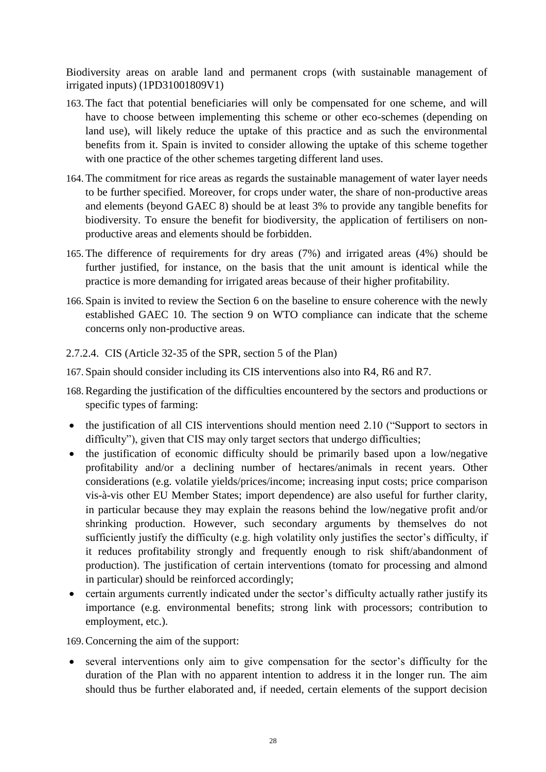Biodiversity areas on arable land and permanent crops (with sustainable management of irrigated inputs) (1PD31001809V1)

- 163. The fact that potential beneficiaries will only be compensated for one scheme, and will have to choose between implementing this scheme or other eco-schemes (depending on land use), will likely reduce the uptake of this practice and as such the environmental benefits from it. Spain is invited to consider allowing the uptake of this scheme together with one practice of the other schemes targeting different land uses.
- 164. The commitment for rice areas as regards the sustainable management of water layer needs to be further specified. Moreover, for crops under water, the share of non-productive areas and elements (beyond GAEC 8) should be at least 3% to provide any tangible benefits for biodiversity. To ensure the benefit for biodiversity, the application of fertilisers on nonproductive areas and elements should be forbidden.
- 165. The difference of requirements for dry areas (7%) and irrigated areas (4%) should be further justified, for instance, on the basis that the unit amount is identical while the practice is more demanding for irrigated areas because of their higher profitability.
- 166. Spain is invited to review the Section 6 on the baseline to ensure coherence with the newly established GAEC 10. The section 9 on WTO compliance can indicate that the scheme concerns only non-productive areas.
- 2.7.2.4. CIS (Article 32-35 of the SPR, section 5 of the Plan)
- 167. Spain should consider including its CIS interventions also into R4, R6 and R7.
- 168.Regarding the justification of the difficulties encountered by the sectors and productions or specific types of farming:
- the justification of all CIS interventions should mention need 2.10 ("Support to sectors in difficulty"), given that CIS may only target sectors that undergo difficulties;
- the justification of economic difficulty should be primarily based upon a low/negative profitability and/or a declining number of hectares/animals in recent years. Other considerations (e.g. volatile yields/prices/income; increasing input costs; price comparison vis-à-vis other EU Member States; import dependence) are also useful for further clarity, in particular because they may explain the reasons behind the low/negative profit and/or shrinking production. However, such secondary arguments by themselves do not sufficiently justify the difficulty (e.g. high volatility only justifies the sector's difficulty, if it reduces profitability strongly and frequently enough to risk shift/abandonment of production). The justification of certain interventions (tomato for processing and almond in particular) should be reinforced accordingly;
- certain arguments currently indicated under the sector's difficulty actually rather justify its importance (e.g. environmental benefits; strong link with processors; contribution to employment, etc.).

169.Concerning the aim of the support:

 several interventions only aim to give compensation for the sector's difficulty for the duration of the Plan with no apparent intention to address it in the longer run. The aim should thus be further elaborated and, if needed, certain elements of the support decision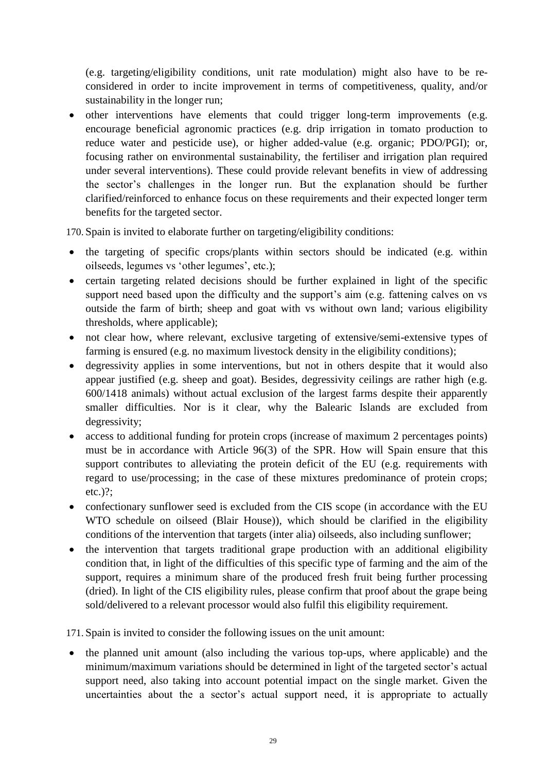(e.g. targeting/eligibility conditions, unit rate modulation) might also have to be reconsidered in order to incite improvement in terms of competitiveness, quality, and/or sustainability in the longer run;

 other interventions have elements that could trigger long-term improvements (e.g. encourage beneficial agronomic practices (e.g. drip irrigation in tomato production to reduce water and pesticide use), or higher added-value (e.g. organic; PDO/PGI); or, focusing rather on environmental sustainability, the fertiliser and irrigation plan required under several interventions). These could provide relevant benefits in view of addressing the sector's challenges in the longer run. But the explanation should be further clarified/reinforced to enhance focus on these requirements and their expected longer term benefits for the targeted sector.

170. Spain is invited to elaborate further on targeting/eligibility conditions:

- the targeting of specific crops/plants within sectors should be indicated (e.g. within oilseeds, legumes vs 'other legumes', etc.);
- certain targeting related decisions should be further explained in light of the specific support need based upon the difficulty and the support's aim (e.g. fattening calves on vs outside the farm of birth; sheep and goat with vs without own land; various eligibility thresholds, where applicable);
- not clear how, where relevant, exclusive targeting of extensive/semi-extensive types of farming is ensured (e.g. no maximum livestock density in the eligibility conditions);
- degressivity applies in some interventions, but not in others despite that it would also appear justified (e.g. sheep and goat). Besides, degressivity ceilings are rather high (e.g. 600/1418 animals) without actual exclusion of the largest farms despite their apparently smaller difficulties. Nor is it clear, why the Balearic Islands are excluded from degressivity;
- access to additional funding for protein crops (increase of maximum 2 percentages points) must be in accordance with Article 96(3) of the SPR. How will Spain ensure that this support contributes to alleviating the protein deficit of the EU (e.g. requirements with regard to use/processing; in the case of these mixtures predominance of protein crops; etc.)?;
- confectionary sunflower seed is excluded from the CIS scope (in accordance with the EU WTO schedule on oilseed (Blair House)), which should be clarified in the eligibility conditions of the intervention that targets (inter alia) oilseeds, also including sunflower;
- the intervention that targets traditional grape production with an additional eligibility condition that, in light of the difficulties of this specific type of farming and the aim of the support, requires a minimum share of the produced fresh fruit being further processing (dried). In light of the CIS eligibility rules, please confirm that proof about the grape being sold/delivered to a relevant processor would also fulfil this eligibility requirement.

171. Spain is invited to consider the following issues on the unit amount:

• the planned unit amount (also including the various top-ups, where applicable) and the minimum/maximum variations should be determined in light of the targeted sector's actual support need, also taking into account potential impact on the single market. Given the uncertainties about the a sector's actual support need, it is appropriate to actually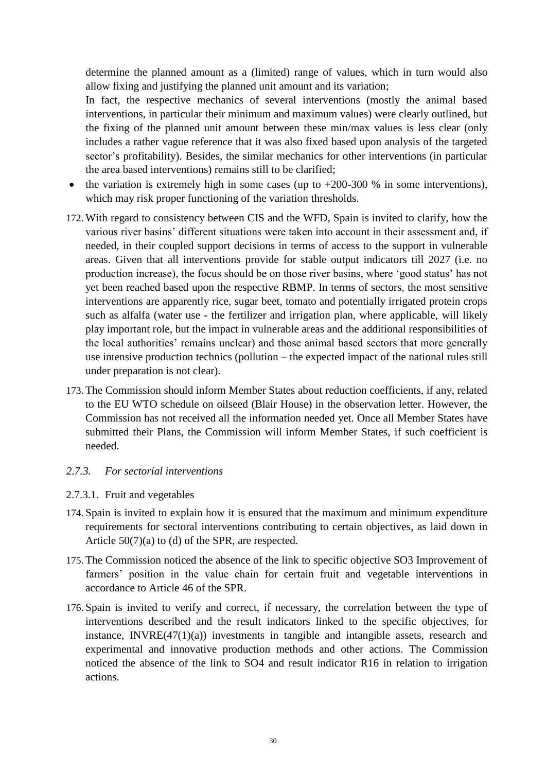determine the planned amount as a (limited) range of values, which in turn would also allow fixing and justifying the planned unit amount and its variation;

In fact, the respective mechanics of several interventions (mostly the animal based interventions, in particular their minimum and maximum values) were clearly outlined, but the fixing of the planned unit amount between these min/max values is less clear (only includes a rather vague reference that it was also fixed based upon analysis of the targeted sector's profitability). Besides, the similar mechanics for other interventions (in particular the area based interventions) remains still to be clarified;

- the variation is extremely high in some cases (up to  $+200-300$  % in some interventions), which may risk proper functioning of the variation thresholds.
- 172. With regard to consistency between CIS and the WFD, Spain is invited to clarify, how the various river basins' different situations were taken into account in their assessment and, if needed, in their coupled support decisions in terms of access to the support in vulnerable areas. Given that all interventions provide for stable output indicators till 2027 (i.e. no production increase), the focus should be on those river basins, where 'good status' has not yet been reached based upon the respective RBMP. In terms of sectors, the most sensitive interventions are apparently rice, sugar beet, tomato and potentially irrigated protein crops such as alfalfa (water use - the fertilizer and irrigation plan, where applicable, will likely play important role, but the impact in vulnerable areas and the additional responsibilities of the local authorities' remains unclear) and those animal based sectors that more generally use intensive production technics (pollution – the expected impact of the national rules still under preparation is not clear).
- 173. The Commission should inform Member States about reduction coefficients, if any, related to the EU WTO schedule on oilseed (Blair House) in the observation letter. However, the Commission has not received all the information needed yet. Once all Member States have submitted their Plans, the Commission will inform Member States, if such coefficient is needed.

#### *2.7.3. For sectorial interventions*

#### 2.7.3.1. Fruit and vegetables

- 174. Spain is invited to explain how it is ensured that the maximum and minimum expenditure requirements for sectoral interventions contributing to certain objectives, as laid down in Article 50(7)(a) to (d) of the SPR, are respected.
- 175. The Commission noticed the absence of the link to specific objective SO3 Improvement of farmers' position in the value chain for certain fruit and vegetable interventions in accordance to Article 46 of the SPR.
- 176. Spain is invited to verify and correct, if necessary, the correlation between the type of interventions described and the result indicators linked to the specific objectives, for instance, INVRE(47(1)(a)) investments in tangible and intangible assets, research and experimental and innovative production methods and other actions. The Commission noticed the absence of the link to SO4 and result indicator R16 in relation to irrigation actions.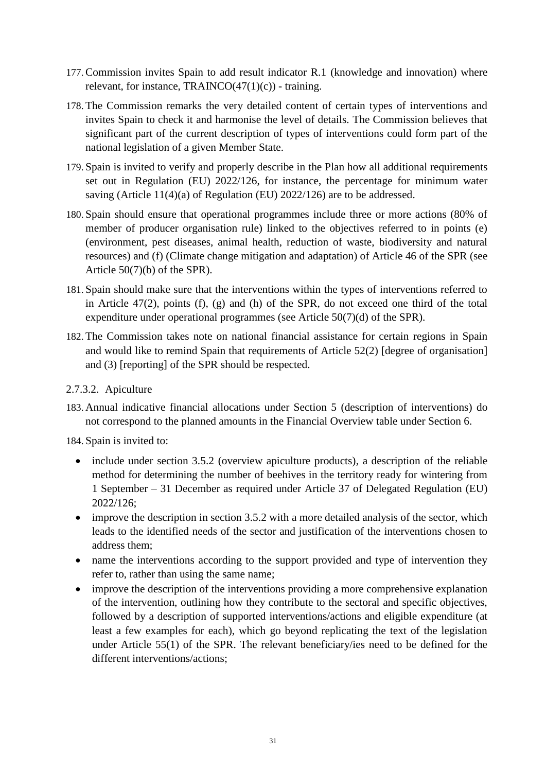- 177.Commission invites Spain to add result indicator R.1 (knowledge and innovation) where relevant, for instance,  $TRAINCO(47(1)(c))$  - training.
- 178. The Commission remarks the very detailed content of certain types of interventions and invites Spain to check it and harmonise the level of details. The Commission believes that significant part of the current description of types of interventions could form part of the national legislation of a given Member State.
- 179. Spain is invited to verify and properly describe in the Plan how all additional requirements set out in Regulation (EU) 2022/126, for instance, the percentage for minimum water saving (Article 11(4)(a) of Regulation (EU) 2022/126) are to be addressed.
- 180. Spain should ensure that operational programmes include three or more actions (80% of member of producer organisation rule) linked to the objectives referred to in points (e) (environment, pest diseases, animal health, reduction of waste, biodiversity and natural resources) and (f) (Climate change mitigation and adaptation) of Article 46 of the SPR (see Article 50(7)(b) of the SPR).
- 181. Spain should make sure that the interventions within the types of interventions referred to in Article 47(2), points (f), (g) and (h) of the SPR, do not exceed one third of the total expenditure under operational programmes (see Article 50(7)(d) of the SPR).
- 182. The Commission takes note on national financial assistance for certain regions in Spain and would like to remind Spain that requirements of Article 52(2) [degree of organisation] and (3) [reporting] of the SPR should be respected.

## 2.7.3.2. Apiculture

183. Annual indicative financial allocations under Section 5 (description of interventions) do not correspond to the planned amounts in the Financial Overview table under Section 6.

184. Spain is invited to:

- include under section 3.5.2 (overview apiculture products), a description of the reliable method for determining the number of beehives in the territory ready for wintering from 1 September – 31 December as required under Article 37 of Delegated Regulation (EU) 2022/126;
- improve the description in section 3.5.2 with a more detailed analysis of the sector, which leads to the identified needs of the sector and justification of the interventions chosen to address them;
- name the interventions according to the support provided and type of intervention they refer to, rather than using the same name;
- improve the description of the interventions providing a more comprehensive explanation of the intervention, outlining how they contribute to the sectoral and specific objectives, followed by a description of supported interventions/actions and eligible expenditure (at least a few examples for each), which go beyond replicating the text of the legislation under Article 55(1) of the SPR. The relevant beneficiary/ies need to be defined for the different interventions/actions;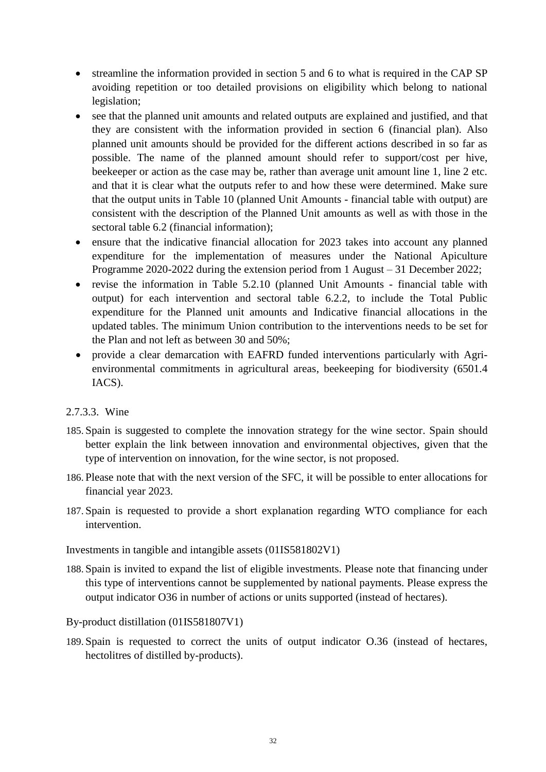- streamline the information provided in section 5 and 6 to what is required in the CAP SP avoiding repetition or too detailed provisions on eligibility which belong to national legislation;
- see that the planned unit amounts and related outputs are explained and justified, and that they are consistent with the information provided in section 6 (financial plan). Also planned unit amounts should be provided for the different actions described in so far as possible. The name of the planned amount should refer to support/cost per hive, beekeeper or action as the case may be, rather than average unit amount line 1, line 2 etc. and that it is clear what the outputs refer to and how these were determined. Make sure that the output units in Table 10 (planned Unit Amounts - financial table with output) are consistent with the description of the Planned Unit amounts as well as with those in the sectoral table 6.2 (financial information);
- ensure that the indicative financial allocation for 2023 takes into account any planned expenditure for the implementation of measures under the National Apiculture Programme 2020-2022 during the extension period from 1 August – 31 December 2022;
- revise the information in Table 5.2.10 (planned Unit Amounts financial table with output) for each intervention and sectoral table 6.2.2, to include the Total Public expenditure for the Planned unit amounts and Indicative financial allocations in the updated tables. The minimum Union contribution to the interventions needs to be set for the Plan and not left as between 30 and 50%;
- provide a clear demarcation with EAFRD funded interventions particularly with Agrienvironmental commitments in agricultural areas, beekeeping for biodiversity (6501.4 IACS).

## 2.7.3.3. Wine

- 185. Spain is suggested to complete the innovation strategy for the wine sector. Spain should better explain the link between innovation and environmental objectives, given that the type of intervention on innovation, for the wine sector, is not proposed.
- 186. Please note that with the next version of the SFC, it will be possible to enter allocations for financial year 2023.
- 187. Spain is requested to provide a short explanation regarding WTO compliance for each intervention.

Investments in tangible and intangible assets (01IS581802V1)

188. Spain is invited to expand the list of eligible investments. Please note that financing under this type of interventions cannot be supplemented by national payments. Please express the output indicator O36 in number of actions or units supported (instead of hectares).

By-product distillation (01IS581807V1)

189. Spain is requested to correct the units of output indicator O.36 (instead of hectares, hectolitres of distilled by-products).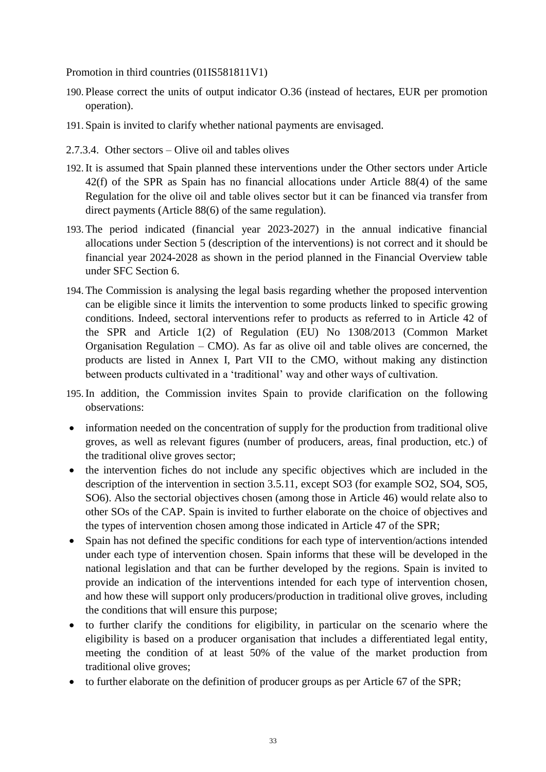Promotion in third countries (01IS581811V1)

- 190. Please correct the units of output indicator O.36 (instead of hectares, EUR per promotion operation).
- 191. Spain is invited to clarify whether national payments are envisaged.
- 2.7.3.4. Other sectors Olive oil and tables olives
- 192.It is assumed that Spain planned these interventions under the Other sectors under Article 42(f) of the SPR as Spain has no financial allocations under Article 88(4) of the same Regulation for the olive oil and table olives sector but it can be financed via transfer from direct payments (Article 88(6) of the same regulation).
- 193. The period indicated (financial year 2023-2027) in the annual indicative financial allocations under Section 5 (description of the interventions) is not correct and it should be financial year 2024-2028 as shown in the period planned in the Financial Overview table under SFC Section 6.
- 194. The Commission is analysing the legal basis regarding whether the proposed intervention can be eligible since it limits the intervention to some products linked to specific growing conditions. Indeed, sectoral interventions refer to products as referred to in Article 42 of the SPR and Article 1(2) of Regulation (EU) No 1308/2013 (Common Market Organisation Regulation – CMO). As far as olive oil and table olives are concerned, the products are listed in Annex I, Part VII to the CMO, without making any distinction between products cultivated in a 'traditional' way and other ways of cultivation.
- 195.In addition, the Commission invites Spain to provide clarification on the following observations:
- information needed on the concentration of supply for the production from traditional olive groves, as well as relevant figures (number of producers, areas, final production, etc.) of the traditional olive groves sector;
- the intervention fiches do not include any specific objectives which are included in the description of the intervention in section 3.5.11, except SO3 (for example SO2, SO4, SO5, SO6). Also the sectorial objectives chosen (among those in Article 46) would relate also to other SOs of the CAP. Spain is invited to further elaborate on the choice of objectives and the types of intervention chosen among those indicated in Article 47 of the SPR;
- Spain has not defined the specific conditions for each type of intervention/actions intended under each type of intervention chosen. Spain informs that these will be developed in the national legislation and that can be further developed by the regions. Spain is invited to provide an indication of the interventions intended for each type of intervention chosen, and how these will support only producers/production in traditional olive groves, including the conditions that will ensure this purpose;
- to further clarify the conditions for eligibility, in particular on the scenario where the eligibility is based on a producer organisation that includes a differentiated legal entity, meeting the condition of at least 50% of the value of the market production from traditional olive groves;
- to further elaborate on the definition of producer groups as per Article 67 of the SPR;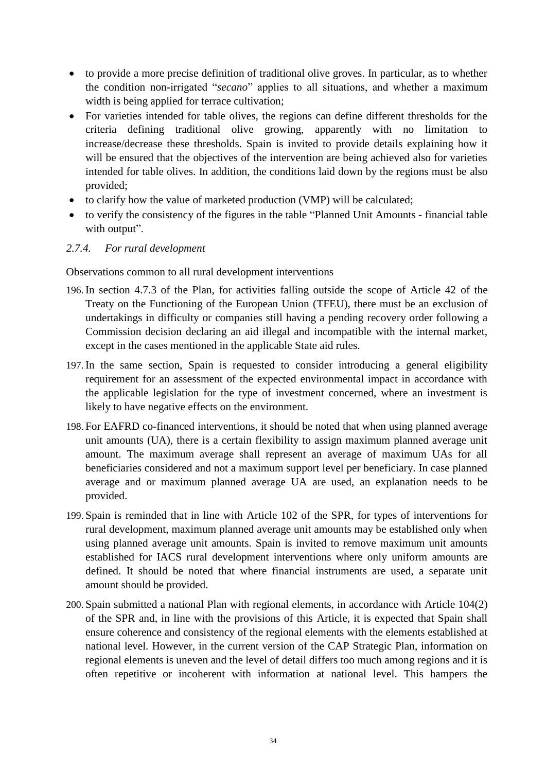- to provide a more precise definition of traditional olive groves. In particular, as to whether the condition non-irrigated "*secano*" applies to all situations, and whether a maximum width is being applied for terrace cultivation;
- For varieties intended for table olives, the regions can define different thresholds for the criteria defining traditional olive growing, apparently with no limitation to increase/decrease these thresholds. Spain is invited to provide details explaining how it will be ensured that the objectives of the intervention are being achieved also for varieties intended for table olives. In addition, the conditions laid down by the regions must be also provided;
- to clarify how the value of marketed production (VMP) will be calculated;
- to verify the consistency of the figures in the table "Planned Unit Amounts financial table with output".

## *2.7.4. For rural development*

Observations common to all rural development interventions

- 196.In section 4.7.3 of the Plan, for activities falling outside the scope of Article 42 of the Treaty on the Functioning of the European Union (TFEU), there must be an exclusion of undertakings in difficulty or companies still having a pending recovery order following a Commission decision declaring an aid illegal and incompatible with the internal market, except in the cases mentioned in the applicable State aid rules.
- 197.In the same section, Spain is requested to consider introducing a general eligibility requirement for an assessment of the expected environmental impact in accordance with the applicable legislation for the type of investment concerned, where an investment is likely to have negative effects on the environment.
- 198. For EAFRD co-financed interventions, it should be noted that when using planned average unit amounts (UA), there is a certain flexibility to assign maximum planned average unit amount. The maximum average shall represent an average of maximum UAs for all beneficiaries considered and not a maximum support level per beneficiary. In case planned average and or maximum planned average UA are used, an explanation needs to be provided.
- 199. Spain is reminded that in line with Article 102 of the SPR, for types of interventions for rural development, maximum planned average unit amounts may be established only when using planned average unit amounts. Spain is invited to remove maximum unit amounts established for IACS rural development interventions where only uniform amounts are defined. It should be noted that where financial instruments are used, a separate unit amount should be provided.
- 200. Spain submitted a national Plan with regional elements, in accordance with Article 104(2) of the SPR and, in line with the provisions of this Article, it is expected that Spain shall ensure coherence and consistency of the regional elements with the elements established at national level. However, in the current version of the CAP Strategic Plan, information on regional elements is uneven and the level of detail differs too much among regions and it is often repetitive or incoherent with information at national level. This hampers the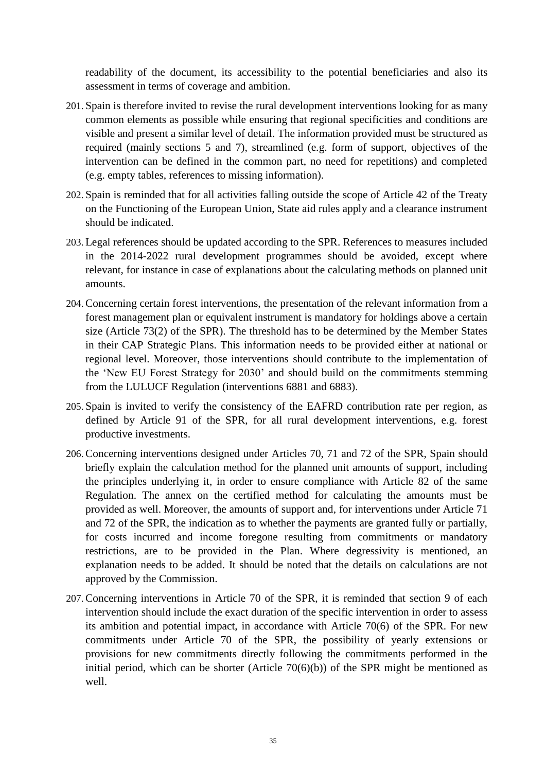readability of the document, its accessibility to the potential beneficiaries and also its assessment in terms of coverage and ambition.

- 201. Spain is therefore invited to revise the rural development interventions looking for as many common elements as possible while ensuring that regional specificities and conditions are visible and present a similar level of detail. The information provided must be structured as required (mainly sections 5 and 7), streamlined (e.g. form of support, objectives of the intervention can be defined in the common part, no need for repetitions) and completed (e.g. empty tables, references to missing information).
- 202. Spain is reminded that for all activities falling outside the scope of Article 42 of the Treaty on the Functioning of the European Union, State aid rules apply and a clearance instrument should be indicated.
- 203. Legal references should be updated according to the SPR. References to measures included in the 2014-2022 rural development programmes should be avoided, except where relevant, for instance in case of explanations about the calculating methods on planned unit amounts.
- 204.Concerning certain forest interventions, the presentation of the relevant information from a forest management plan or equivalent instrument is mandatory for holdings above a certain size (Article 73(2) of the SPR). The threshold has to be determined by the Member States in their CAP Strategic Plans. This information needs to be provided either at national or regional level. Moreover, those interventions should contribute to the implementation of the 'New EU Forest Strategy for 2030' and should build on the commitments stemming from the LULUCF Regulation (interventions 6881 and 6883).
- 205. Spain is invited to verify the consistency of the EAFRD contribution rate per region, as defined by Article 91 of the SPR, for all rural development interventions, e.g. forest productive investments.
- 206.Concerning interventions designed under Articles 70, 71 and 72 of the SPR, Spain should briefly explain the calculation method for the planned unit amounts of support, including the principles underlying it, in order to ensure compliance with Article 82 of the same Regulation. The annex on the certified method for calculating the amounts must be provided as well. Moreover, the amounts of support and, for interventions under Article 71 and 72 of the SPR, the indication as to whether the payments are granted fully or partially, for costs incurred and income foregone resulting from commitments or mandatory restrictions, are to be provided in the Plan. Where degressivity is mentioned, an explanation needs to be added. It should be noted that the details on calculations are not approved by the Commission.
- 207.Concerning interventions in Article 70 of the SPR, it is reminded that section 9 of each intervention should include the exact duration of the specific intervention in order to assess its ambition and potential impact, in accordance with Article 70(6) of the SPR. For new commitments under Article 70 of the SPR, the possibility of yearly extensions or provisions for new commitments directly following the commitments performed in the initial period, which can be shorter (Article  $70(6)(b)$ ) of the SPR might be mentioned as well.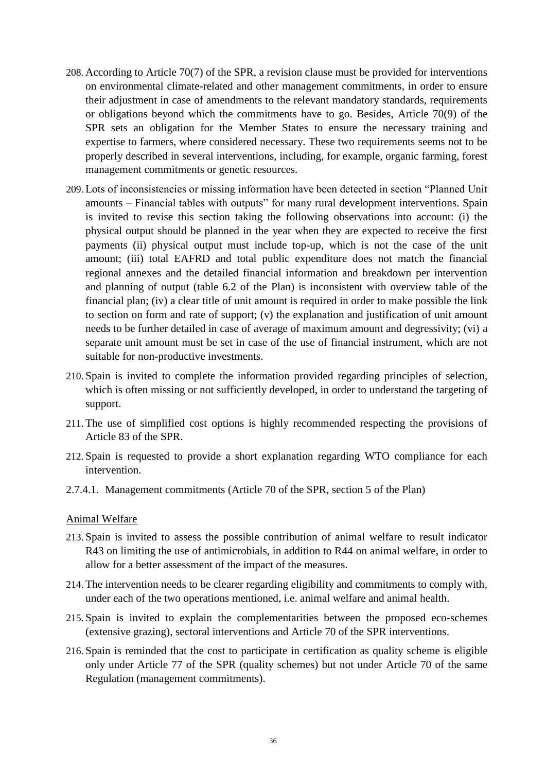- 208. According to Article 70(7) of the SPR, a revision clause must be provided for interventions on environmental climate-related and other management commitments, in order to ensure their adjustment in case of amendments to the relevant mandatory standards, requirements or obligations beyond which the commitments have to go. Besides, Article 70(9) of the SPR sets an obligation for the Member States to ensure the necessary training and expertise to farmers, where considered necessary. These two requirements seems not to be properly described in several interventions, including, for example, organic farming, forest management commitments or genetic resources.
- 209. Lots of inconsistencies or missing information have been detected in section "Planned Unit amounts – Financial tables with outputs" for many rural development interventions. Spain is invited to revise this section taking the following observations into account: (i) the physical output should be planned in the year when they are expected to receive the first payments (ii) physical output must include top-up, which is not the case of the unit amount; (iii) total EAFRD and total public expenditure does not match the financial regional annexes and the detailed financial information and breakdown per intervention and planning of output (table 6.2 of the Plan) is inconsistent with overview table of the financial plan; (iv) a clear title of unit amount is required in order to make possible the link to section on form and rate of support; (v) the explanation and justification of unit amount needs to be further detailed in case of average of maximum amount and degressivity; (vi) a separate unit amount must be set in case of the use of financial instrument, which are not suitable for non-productive investments.
- 210. Spain is invited to complete the information provided regarding principles of selection, which is often missing or not sufficiently developed, in order to understand the targeting of support.
- 211. The use of simplified cost options is highly recommended respecting the provisions of Article 83 of the SPR.
- 212. Spain is requested to provide a short explanation regarding WTO compliance for each intervention.
- 2.7.4.1. Management commitments (Article 70 of the SPR, section 5 of the Plan)

#### Animal Welfare

- 213. Spain is invited to assess the possible contribution of animal welfare to result indicator R43 on limiting the use of antimicrobials, in addition to R44 on animal welfare, in order to allow for a better assessment of the impact of the measures.
- 214. The intervention needs to be clearer regarding eligibility and commitments to comply with, under each of the two operations mentioned, i.e. animal welfare and animal health.
- 215. Spain is invited to explain the complementarities between the proposed eco-schemes (extensive grazing), sectoral interventions and Article 70 of the SPR interventions.
- 216. Spain is reminded that the cost to participate in certification as quality scheme is eligible only under Article 77 of the SPR (quality schemes) but not under Article 70 of the same Regulation (management commitments).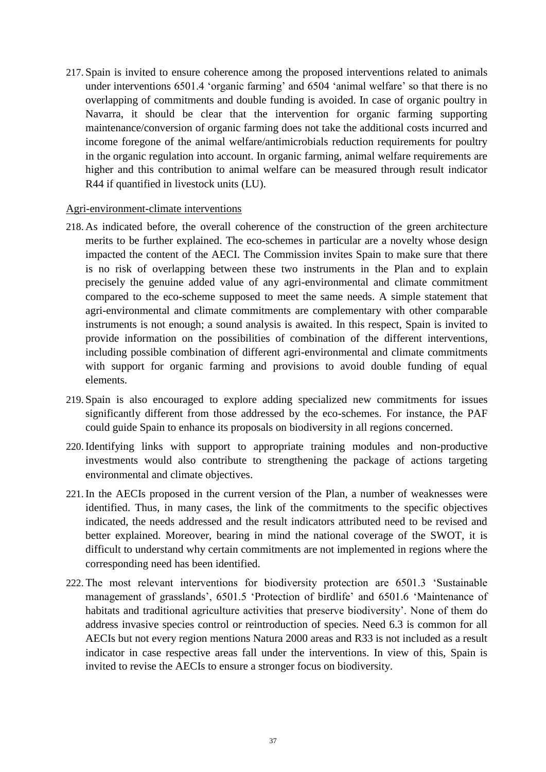217. Spain is invited to ensure coherence among the proposed interventions related to animals under interventions 6501.4 'organic farming' and 6504 'animal welfare' so that there is no overlapping of commitments and double funding is avoided. In case of organic poultry in Navarra, it should be clear that the intervention for organic farming supporting maintenance/conversion of organic farming does not take the additional costs incurred and income foregone of the animal welfare/antimicrobials reduction requirements for poultry in the organic regulation into account. In organic farming, animal welfare requirements are higher and this contribution to animal welfare can be measured through result indicator R44 if quantified in livestock units (LU).

#### Agri-environment-climate interventions

- 218. As indicated before, the overall coherence of the construction of the green architecture merits to be further explained. The eco-schemes in particular are a novelty whose design impacted the content of the AECI. The Commission invites Spain to make sure that there is no risk of overlapping between these two instruments in the Plan and to explain precisely the genuine added value of any agri-environmental and climate commitment compared to the eco-scheme supposed to meet the same needs. A simple statement that agri-environmental and climate commitments are complementary with other comparable instruments is not enough; a sound analysis is awaited. In this respect, Spain is invited to provide information on the possibilities of combination of the different interventions, including possible combination of different agri-environmental and climate commitments with support for organic farming and provisions to avoid double funding of equal elements.
- 219. Spain is also encouraged to explore adding specialized new commitments for issues significantly different from those addressed by the eco-schemes. For instance, the PAF could guide Spain to enhance its proposals on biodiversity in all regions concerned.
- 220.Identifying links with support to appropriate training modules and non-productive investments would also contribute to strengthening the package of actions targeting environmental and climate objectives.
- 221.In the AECIs proposed in the current version of the Plan, a number of weaknesses were identified. Thus, in many cases, the link of the commitments to the specific objectives indicated, the needs addressed and the result indicators attributed need to be revised and better explained. Moreover, bearing in mind the national coverage of the SWOT, it is difficult to understand why certain commitments are not implemented in regions where the corresponding need has been identified.
- 222. The most relevant interventions for biodiversity protection are 6501.3 'Sustainable management of grasslands', 6501.5 'Protection of birdlife' and 6501.6 'Maintenance of habitats and traditional agriculture activities that preserve biodiversity'. None of them do address invasive species control or reintroduction of species. Need 6.3 is common for all AECIs but not every region mentions Natura 2000 areas and R33 is not included as a result indicator in case respective areas fall under the interventions. In view of this, Spain is invited to revise the AECIs to ensure a stronger focus on biodiversity.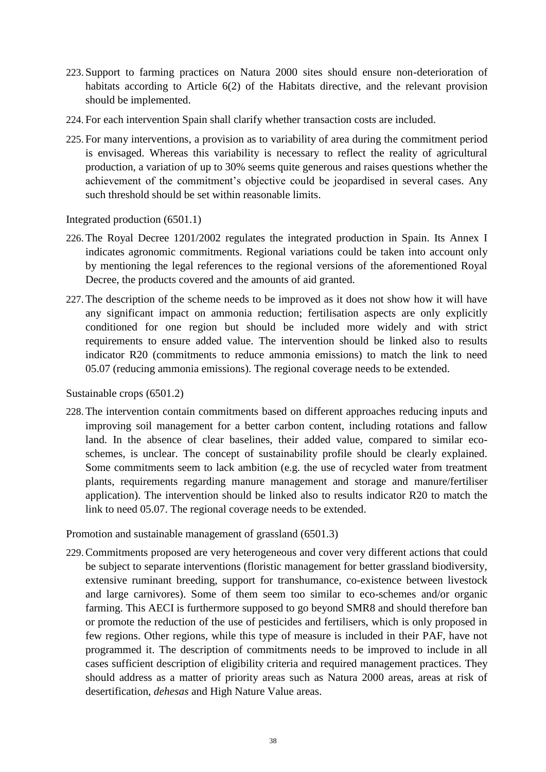- 223. Support to farming practices on Natura 2000 sites should ensure non-deterioration of habitats according to Article 6(2) of the Habitats directive, and the relevant provision should be implemented.
- 224. For each intervention Spain shall clarify whether transaction costs are included.
- 225. For many interventions, a provision as to variability of area during the commitment period is envisaged. Whereas this variability is necessary to reflect the reality of agricultural production, a variation of up to 30% seems quite generous and raises questions whether the achievement of the commitment's objective could be jeopardised in several cases. Any such threshold should be set within reasonable limits.

Integrated production (6501.1)

- 226. The Royal Decree 1201/2002 regulates the integrated production in Spain. Its Annex I indicates agronomic commitments. Regional variations could be taken into account only by mentioning the legal references to the regional versions of the aforementioned Royal Decree, the products covered and the amounts of aid granted.
- 227. The description of the scheme needs to be improved as it does not show how it will have any significant impact on ammonia reduction; fertilisation aspects are only explicitly conditioned for one region but should be included more widely and with strict requirements to ensure added value. The intervention should be linked also to results indicator R20 (commitments to reduce ammonia emissions) to match the link to need 05.07 (reducing ammonia emissions). The regional coverage needs to be extended.

Sustainable crops (6501.2)

228. The intervention contain commitments based on different approaches reducing inputs and improving soil management for a better carbon content, including rotations and fallow land. In the absence of clear baselines, their added value, compared to similar ecoschemes, is unclear. The concept of sustainability profile should be clearly explained. Some commitments seem to lack ambition (e.g. the use of recycled water from treatment plants, requirements regarding manure management and storage and manure/fertiliser application). The intervention should be linked also to results indicator R20 to match the link to need 05.07. The regional coverage needs to be extended.

Promotion and sustainable management of grassland (6501.3)

229.Commitments proposed are very heterogeneous and cover very different actions that could be subject to separate interventions (floristic management for better grassland biodiversity, extensive ruminant breeding, support for transhumance, co-existence between livestock and large carnivores). Some of them seem too similar to eco-schemes and/or organic farming. This AECI is furthermore supposed to go beyond SMR8 and should therefore ban or promote the reduction of the use of pesticides and fertilisers, which is only proposed in few regions. Other regions, while this type of measure is included in their PAF, have not programmed it. The description of commitments needs to be improved to include in all cases sufficient description of eligibility criteria and required management practices. They should address as a matter of priority areas such as Natura 2000 areas, areas at risk of desertification, *dehesas* and High Nature Value areas.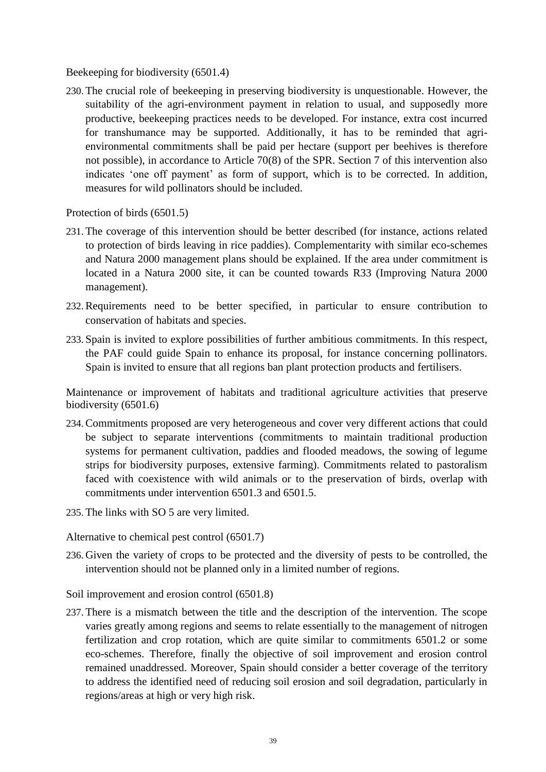Beekeeping for biodiversity (6501.4)

230. The crucial role of beekeeping in preserving biodiversity is unquestionable. However, the suitability of the agri-environment payment in relation to usual, and supposedly more productive, beekeeping practices needs to be developed. For instance, extra cost incurred for transhumance may be supported. Additionally, it has to be reminded that agrienvironmental commitments shall be paid per hectare (support per beehives is therefore not possible), in accordance to Article 70(8) of the SPR. Section 7 of this intervention also indicates 'one off payment' as form of support, which is to be corrected. In addition, measures for wild pollinators should be included.

Protection of birds (6501.5)

- 231. The coverage of this intervention should be better described (for instance, actions related to protection of birds leaving in rice paddies). Complementarity with similar eco-schemes and Natura 2000 management plans should be explained. If the area under commitment is located in a Natura 2000 site, it can be counted towards R33 (Improving Natura 2000 management).
- 232.Requirements need to be better specified, in particular to ensure contribution to conservation of habitats and species.
- 233. Spain is invited to explore possibilities of further ambitious commitments. In this respect, the PAF could guide Spain to enhance its proposal, for instance concerning pollinators. Spain is invited to ensure that all regions ban plant protection products and fertilisers.

Maintenance or improvement of habitats and traditional agriculture activities that preserve biodiversity (6501.6)

- 234.Commitments proposed are very heterogeneous and cover very different actions that could be subject to separate interventions (commitments to maintain traditional production systems for permanent cultivation, paddies and flooded meadows, the sowing of legume strips for biodiversity purposes, extensive farming). Commitments related to pastoralism faced with coexistence with wild animals or to the preservation of birds, overlap with commitments under intervention 6501.3 and 6501.5.
- 235. The links with SO 5 are very limited.

Alternative to chemical pest control (6501.7)

236. Given the variety of crops to be protected and the diversity of pests to be controlled, the intervention should not be planned only in a limited number of regions.

Soil improvement and erosion control (6501.8)

237. There is a mismatch between the title and the description of the intervention. The scope varies greatly among regions and seems to relate essentially to the management of nitrogen fertilization and crop rotation, which are quite similar to commitments 6501.2 or some eco-schemes. Therefore, finally the objective of soil improvement and erosion control remained unaddressed. Moreover, Spain should consider a better coverage of the territory to address the identified need of reducing soil erosion and soil degradation, particularly in regions/areas at high or very high risk.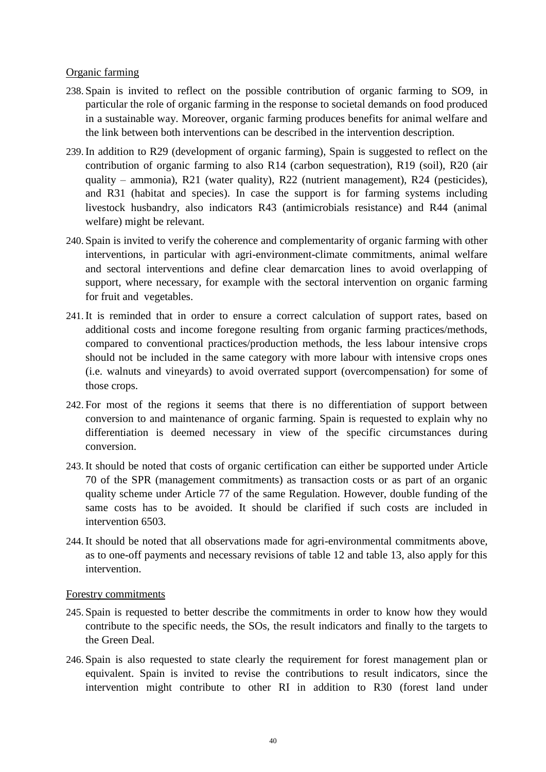#### Organic farming

- 238. Spain is invited to reflect on the possible contribution of organic farming to SO9, in particular the role of organic farming in the response to societal demands on food produced in a sustainable way. Moreover, organic farming produces benefits for animal welfare and the link between both interventions can be described in the intervention description.
- 239.In addition to R29 (development of organic farming), Spain is suggested to reflect on the contribution of organic farming to also R14 (carbon sequestration), R19 (soil), R20 (air quality – ammonia), R21 (water quality), R22 (nutrient management), R24 (pesticides), and R31 (habitat and species). In case the support is for farming systems including livestock husbandry, also indicators R43 (antimicrobials resistance) and R44 (animal welfare) might be relevant.
- 240. Spain is invited to verify the coherence and complementarity of organic farming with other interventions, in particular with agri-environment-climate commitments, animal welfare and sectoral interventions and define clear demarcation lines to avoid overlapping of support, where necessary, for example with the sectoral intervention on organic farming for fruit and vegetables.
- 241.It is reminded that in order to ensure a correct calculation of support rates, based on additional costs and income foregone resulting from organic farming practices/methods, compared to conventional practices/production methods, the less labour intensive crops should not be included in the same category with more labour with intensive crops ones (i.e. walnuts and vineyards) to avoid overrated support (overcompensation) for some of those crops.
- 242. For most of the regions it seems that there is no differentiation of support between conversion to and maintenance of organic farming. Spain is requested to explain why no differentiation is deemed necessary in view of the specific circumstances during conversion.
- 243.It should be noted that costs of organic certification can either be supported under Article 70 of the SPR (management commitments) as transaction costs or as part of an organic quality scheme under Article 77 of the same Regulation. However, double funding of the same costs has to be avoided. It should be clarified if such costs are included in intervention 6503.
- 244.It should be noted that all observations made for agri-environmental commitments above, as to one-off payments and necessary revisions of table 12 and table 13, also apply for this intervention.

#### Forestry commitments

- 245. Spain is requested to better describe the commitments in order to know how they would contribute to the specific needs, the SOs, the result indicators and finally to the targets to the Green Deal.
- 246. Spain is also requested to state clearly the requirement for forest management plan or equivalent. Spain is invited to revise the contributions to result indicators, since the intervention might contribute to other RI in addition to R30 (forest land under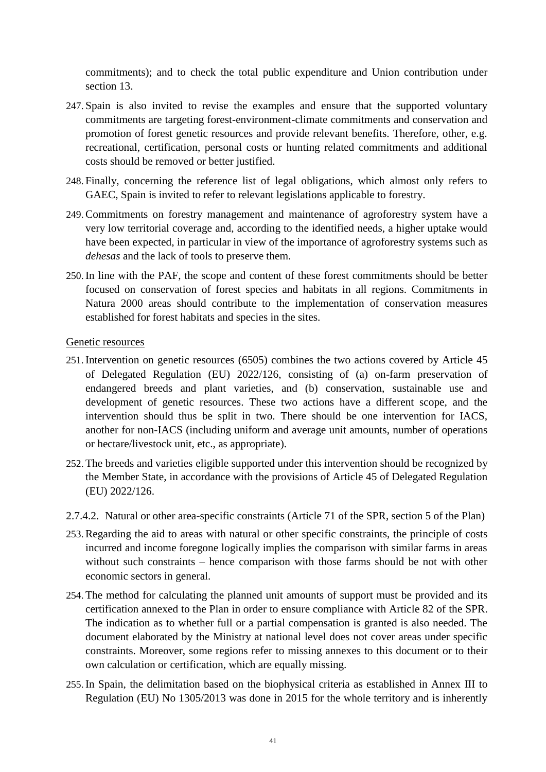commitments); and to check the total public expenditure and Union contribution under section 13.

- 247. Spain is also invited to revise the examples and ensure that the supported voluntary commitments are targeting forest-environment-climate commitments and conservation and promotion of forest genetic resources and provide relevant benefits. Therefore, other, e.g. recreational, certification, personal costs or hunting related commitments and additional costs should be removed or better justified.
- 248. Finally, concerning the reference list of legal obligations, which almost only refers to GAEC, Spain is invited to refer to relevant legislations applicable to forestry.
- 249.Commitments on forestry management and maintenance of agroforestry system have a very low territorial coverage and, according to the identified needs, a higher uptake would have been expected, in particular in view of the importance of agroforestry systems such as *dehesas* and the lack of tools to preserve them.
- 250.In line with the PAF, the scope and content of these forest commitments should be better focused on conservation of forest species and habitats in all regions. Commitments in Natura 2000 areas should contribute to the implementation of conservation measures established for forest habitats and species in the sites.

#### Genetic resources

- 251.Intervention on genetic resources (6505) combines the two actions covered by Article 45 of Delegated Regulation (EU) 2022/126, consisting of (a) on-farm preservation of endangered breeds and plant varieties, and (b) conservation, sustainable use and development of genetic resources. These two actions have a different scope, and the intervention should thus be split in two. There should be one intervention for IACS, another for non-IACS (including uniform and average unit amounts, number of operations or hectare/livestock unit, etc., as appropriate).
- 252. The breeds and varieties eligible supported under this intervention should be recognized by the Member State, in accordance with the provisions of Article 45 of Delegated Regulation (EU) 2022/126.
- 2.7.4.2. Natural or other area-specific constraints (Article 71 of the SPR, section 5 of the Plan)
- 253.Regarding the aid to areas with natural or other specific constraints, the principle of costs incurred and income foregone logically implies the comparison with similar farms in areas without such constraints – hence comparison with those farms should be not with other economic sectors in general.
- 254. The method for calculating the planned unit amounts of support must be provided and its certification annexed to the Plan in order to ensure compliance with Article 82 of the SPR. The indication as to whether full or a partial compensation is granted is also needed. The document elaborated by the Ministry at national level does not cover areas under specific constraints. Moreover, some regions refer to missing annexes to this document or to their own calculation or certification, which are equally missing.
- 255.In Spain, the delimitation based on the biophysical criteria as established in Annex III to Regulation (EU) No 1305/2013 was done in 2015 for the whole territory and is inherently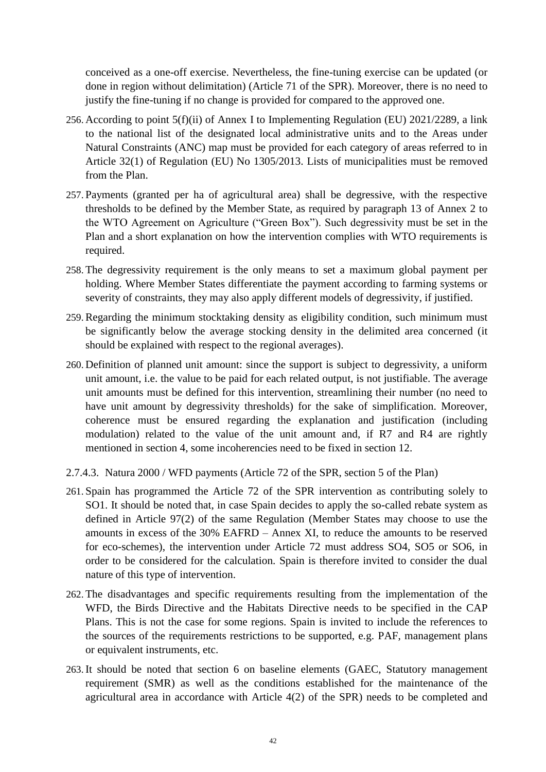conceived as a one-off exercise. Nevertheless, the fine-tuning exercise can be updated (or done in region without delimitation) (Article 71 of the SPR). Moreover, there is no need to justify the fine-tuning if no change is provided for compared to the approved one.

- 256. According to point 5(f)(ii) of Annex I to Implementing Regulation (EU) 2021/2289, a link to the national list of the designated local administrative units and to the Areas under Natural Constraints (ANC) map must be provided for each category of areas referred to in Article 32(1) of Regulation (EU) No 1305/2013. Lists of municipalities must be removed from the Plan.
- 257. Payments (granted per ha of agricultural area) shall be degressive, with the respective thresholds to be defined by the Member State, as required by paragraph 13 of Annex 2 to the WTO Agreement on Agriculture ("Green Box"). Such degressivity must be set in the Plan and a short explanation on how the intervention complies with WTO requirements is required.
- 258. The degressivity requirement is the only means to set a maximum global payment per holding. Where Member States differentiate the payment according to farming systems or severity of constraints, they may also apply different models of degressivity, if justified.
- 259.Regarding the minimum stocktaking density as eligibility condition, such minimum must be significantly below the average stocking density in the delimited area concerned (it should be explained with respect to the regional averages).
- 260. Definition of planned unit amount: since the support is subject to degressivity, a uniform unit amount, i.e. the value to be paid for each related output, is not justifiable. The average unit amounts must be defined for this intervention, streamlining their number (no need to have unit amount by degressivity thresholds) for the sake of simplification. Moreover, coherence must be ensured regarding the explanation and justification (including modulation) related to the value of the unit amount and, if R7 and R4 are rightly mentioned in section 4, some incoherencies need to be fixed in section 12.
- 2.7.4.3. Natura 2000 / WFD payments (Article 72 of the SPR, section 5 of the Plan)
- 261. Spain has programmed the Article 72 of the SPR intervention as contributing solely to SO1. It should be noted that, in case Spain decides to apply the so-called rebate system as defined in Article 97(2) of the same Regulation (Member States may choose to use the amounts in excess of the 30% EAFRD – Annex XI, to reduce the amounts to be reserved for eco-schemes), the intervention under Article 72 must address SO4, SO5 or SO6, in order to be considered for the calculation. Spain is therefore invited to consider the dual nature of this type of intervention.
- 262. The disadvantages and specific requirements resulting from the implementation of the WFD, the Birds Directive and the Habitats Directive needs to be specified in the CAP Plans. This is not the case for some regions. Spain is invited to include the references to the sources of the requirements restrictions to be supported, e.g. PAF, management plans or equivalent instruments, etc.
- 263.It should be noted that section 6 on baseline elements (GAEC, Statutory management requirement (SMR) as well as the conditions established for the maintenance of the agricultural area in accordance with Article 4(2) of the SPR) needs to be completed and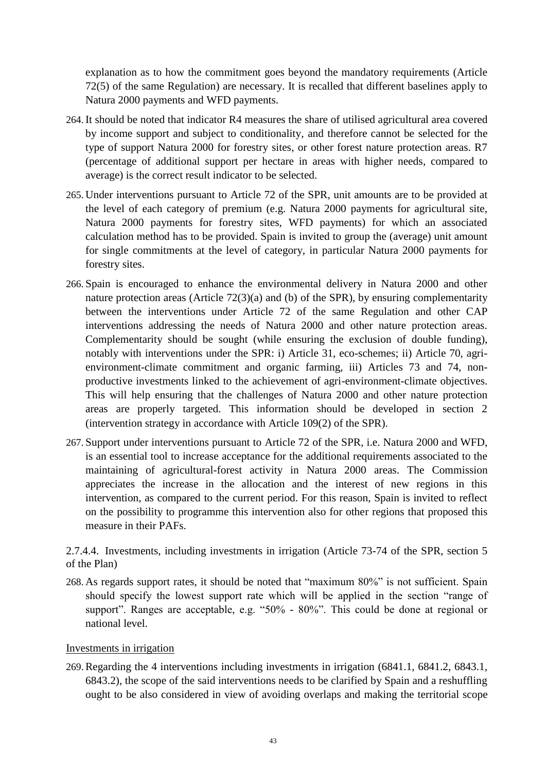explanation as to how the commitment goes beyond the mandatory requirements (Article 72(5) of the same Regulation) are necessary. It is recalled that different baselines apply to Natura 2000 payments and WFD payments.

- 264.It should be noted that indicator R4 measures the share of utilised agricultural area covered by income support and subject to conditionality, and therefore cannot be selected for the type of support Natura 2000 for forestry sites, or other forest nature protection areas. R7 (percentage of additional support per hectare in areas with higher needs, compared to average) is the correct result indicator to be selected.
- 265. Under interventions pursuant to Article 72 of the SPR, unit amounts are to be provided at the level of each category of premium (e.g. Natura 2000 payments for agricultural site, Natura 2000 payments for forestry sites, WFD payments) for which an associated calculation method has to be provided. Spain is invited to group the (average) unit amount for single commitments at the level of category, in particular Natura 2000 payments for forestry sites.
- 266. Spain is encouraged to enhance the environmental delivery in Natura 2000 and other nature protection areas (Article 72(3)(a) and (b) of the SPR), by ensuring complementarity between the interventions under Article 72 of the same Regulation and other CAP interventions addressing the needs of Natura 2000 and other nature protection areas. Complementarity should be sought (while ensuring the exclusion of double funding), notably with interventions under the SPR: i) Article 31, eco-schemes; ii) Article 70, agrienvironment-climate commitment and organic farming, iii) Articles 73 and 74, nonproductive investments linked to the achievement of agri-environment-climate objectives. This will help ensuring that the challenges of Natura 2000 and other nature protection areas are properly targeted. This information should be developed in section 2 (intervention strategy in accordance with Article 109(2) of the SPR).
- 267. Support under interventions pursuant to Article 72 of the SPR, i.e. Natura 2000 and WFD, is an essential tool to increase acceptance for the additional requirements associated to the maintaining of agricultural-forest activity in Natura 2000 areas. The Commission appreciates the increase in the allocation and the interest of new regions in this intervention, as compared to the current period. For this reason, Spain is invited to reflect on the possibility to programme this intervention also for other regions that proposed this measure in their PAFs.

2.7.4.4. Investments, including investments in irrigation (Article 73-74 of the SPR, section 5 of the Plan)

268. As regards support rates, it should be noted that "maximum 80%" is not sufficient. Spain should specify the lowest support rate which will be applied in the section "range of support". Ranges are acceptable, e.g. "50% - 80%". This could be done at regional or national level.

#### Investments in irrigation

269.Regarding the 4 interventions including investments in irrigation (6841.1, 6841.2, 6843.1, 6843.2), the scope of the said interventions needs to be clarified by Spain and a reshuffling ought to be also considered in view of avoiding overlaps and making the territorial scope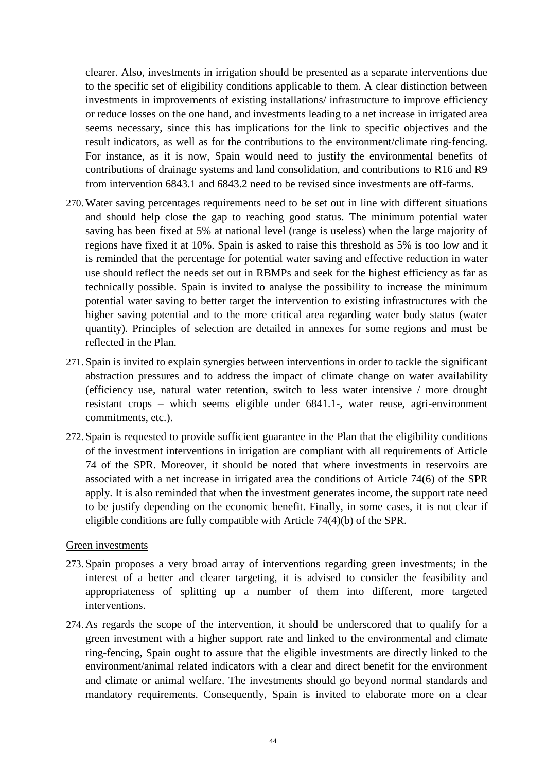clearer. Also, investments in irrigation should be presented as a separate interventions due to the specific set of eligibility conditions applicable to them. A clear distinction between investments in improvements of existing installations/ infrastructure to improve efficiency or reduce losses on the one hand, and investments leading to a net increase in irrigated area seems necessary, since this has implications for the link to specific objectives and the result indicators, as well as for the contributions to the environment/climate ring-fencing. For instance, as it is now, Spain would need to justify the environmental benefits of contributions of drainage systems and land consolidation, and contributions to R16 and R9 from intervention 6843.1 and 6843.2 need to be revised since investments are off-farms.

- 270. Water saving percentages requirements need to be set out in line with different situations and should help close the gap to reaching good status. The minimum potential water saving has been fixed at 5% at national level (range is useless) when the large majority of regions have fixed it at 10%. Spain is asked to raise this threshold as 5% is too low and it is reminded that the percentage for potential water saving and effective reduction in water use should reflect the needs set out in RBMPs and seek for the highest efficiency as far as technically possible. Spain is invited to analyse the possibility to increase the minimum potential water saving to better target the intervention to existing infrastructures with the higher saving potential and to the more critical area regarding water body status (water quantity). Principles of selection are detailed in annexes for some regions and must be reflected in the Plan.
- 271. Spain is invited to explain synergies between interventions in order to tackle the significant abstraction pressures and to address the impact of climate change on water availability (efficiency use, natural water retention, switch to less water intensive / more drought resistant crops – which seems eligible under 6841.1-, water reuse, agri-environment commitments, etc.).
- 272. Spain is requested to provide sufficient guarantee in the Plan that the eligibility conditions of the investment interventions in irrigation are compliant with all requirements of Article 74 of the SPR. Moreover, it should be noted that where investments in reservoirs are associated with a net increase in irrigated area the conditions of Article 74(6) of the SPR apply. It is also reminded that when the investment generates income, the support rate need to be justify depending on the economic benefit. Finally, in some cases, it is not clear if eligible conditions are fully compatible with Article 74(4)(b) of the SPR.

#### Green investments

- 273. Spain proposes a very broad array of interventions regarding green investments; in the interest of a better and clearer targeting, it is advised to consider the feasibility and appropriateness of splitting up a number of them into different, more targeted interventions.
- 274. As regards the scope of the intervention, it should be underscored that to qualify for a green investment with a higher support rate and linked to the environmental and climate ring-fencing, Spain ought to assure that the eligible investments are directly linked to the environment/animal related indicators with a clear and direct benefit for the environment and climate or animal welfare. The investments should go beyond normal standards and mandatory requirements. Consequently, Spain is invited to elaborate more on a clear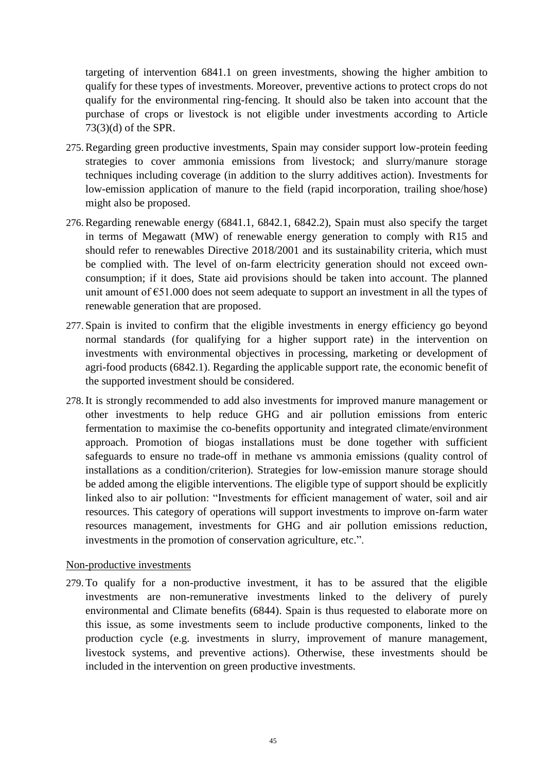targeting of intervention 6841.1 on green investments, showing the higher ambition to qualify for these types of investments. Moreover, preventive actions to protect crops do not qualify for the environmental ring-fencing. It should also be taken into account that the purchase of crops or livestock is not eligible under investments according to Article 73(3)(d) of the SPR.

- 275.Regarding green productive investments, Spain may consider support low-protein feeding strategies to cover ammonia emissions from livestock; and slurry/manure storage techniques including coverage (in addition to the slurry additives action). Investments for low-emission application of manure to the field (rapid incorporation, trailing shoe/hose) might also be proposed.
- 276.Regarding renewable energy (6841.1, 6842.1, 6842.2), Spain must also specify the target in terms of Megawatt (MW) of renewable energy generation to comply with R15 and should refer to renewables Directive 2018/2001 and its sustainability criteria, which must be complied with. The level of on-farm electricity generation should not exceed ownconsumption; if it does, State aid provisions should be taken into account. The planned unit amount of €51.000 does not seem adequate to support an investment in all the types of renewable generation that are proposed.
- 277. Spain is invited to confirm that the eligible investments in energy efficiency go beyond normal standards (for qualifying for a higher support rate) in the intervention on investments with environmental objectives in processing, marketing or development of agri-food products (6842.1). Regarding the applicable support rate, the economic benefit of the supported investment should be considered.
- 278.It is strongly recommended to add also investments for improved manure management or other investments to help reduce GHG and air pollution emissions from enteric fermentation to maximise the co-benefits opportunity and integrated climate/environment approach. Promotion of biogas installations must be done together with sufficient safeguards to ensure no trade-off in methane vs ammonia emissions (quality control of installations as a condition/criterion). Strategies for low-emission manure storage should be added among the eligible interventions. The eligible type of support should be explicitly linked also to air pollution: "Investments for efficient management of water, soil and air resources. This category of operations will support investments to improve on-farm water resources management, investments for GHG and air pollution emissions reduction, investments in the promotion of conservation agriculture, etc.".

#### Non-productive investments

279. To qualify for a non-productive investment, it has to be assured that the eligible investments are non-remunerative investments linked to the delivery of purely environmental and Climate benefits (6844). Spain is thus requested to elaborate more on this issue, as some investments seem to include productive components, linked to the production cycle (e.g. investments in slurry, improvement of manure management, livestock systems, and preventive actions). Otherwise, these investments should be included in the intervention on green productive investments.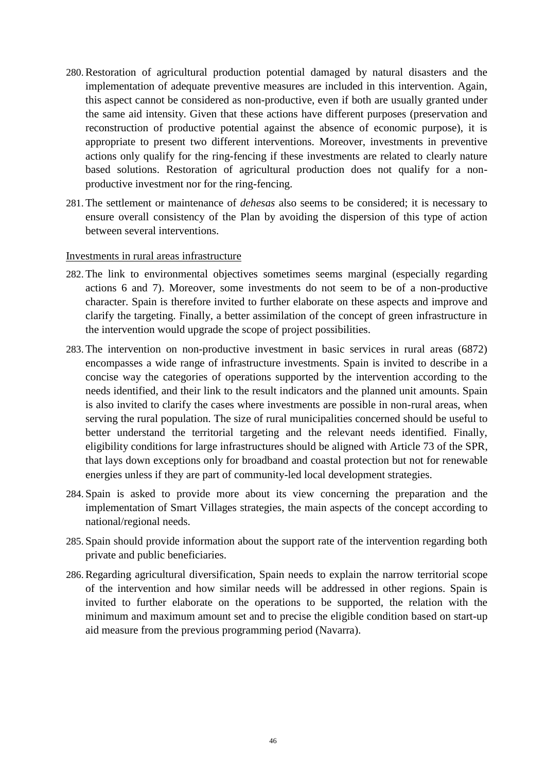- 280.Restoration of agricultural production potential damaged by natural disasters and the implementation of adequate preventive measures are included in this intervention. Again, this aspect cannot be considered as non-productive, even if both are usually granted under the same aid intensity. Given that these actions have different purposes (preservation and reconstruction of productive potential against the absence of economic purpose), it is appropriate to present two different interventions. Moreover, investments in preventive actions only qualify for the ring-fencing if these investments are related to clearly nature based solutions. Restoration of agricultural production does not qualify for a nonproductive investment nor for the ring-fencing.
- 281. The settlement or maintenance of *dehesas* also seems to be considered; it is necessary to ensure overall consistency of the Plan by avoiding the dispersion of this type of action between several interventions.

## Investments in rural areas infrastructure

- 282. The link to environmental objectives sometimes seems marginal (especially regarding actions 6 and 7). Moreover, some investments do not seem to be of a non-productive character. Spain is therefore invited to further elaborate on these aspects and improve and clarify the targeting. Finally, a better assimilation of the concept of green infrastructure in the intervention would upgrade the scope of project possibilities.
- 283. The intervention on non-productive investment in basic services in rural areas (6872) encompasses a wide range of infrastructure investments. Spain is invited to describe in a concise way the categories of operations supported by the intervention according to the needs identified, and their link to the result indicators and the planned unit amounts. Spain is also invited to clarify the cases where investments are possible in non-rural areas, when serving the rural population. The size of rural municipalities concerned should be useful to better understand the territorial targeting and the relevant needs identified. Finally, eligibility conditions for large infrastructures should be aligned with Article 73 of the SPR, that lays down exceptions only for broadband and coastal protection but not for renewable energies unless if they are part of community-led local development strategies.
- 284. Spain is asked to provide more about its view concerning the preparation and the implementation of Smart Villages strategies, the main aspects of the concept according to national/regional needs.
- 285. Spain should provide information about the support rate of the intervention regarding both private and public beneficiaries.
- 286.Regarding agricultural diversification, Spain needs to explain the narrow territorial scope of the intervention and how similar needs will be addressed in other regions. Spain is invited to further elaborate on the operations to be supported, the relation with the minimum and maximum amount set and to precise the eligible condition based on start-up aid measure from the previous programming period (Navarra).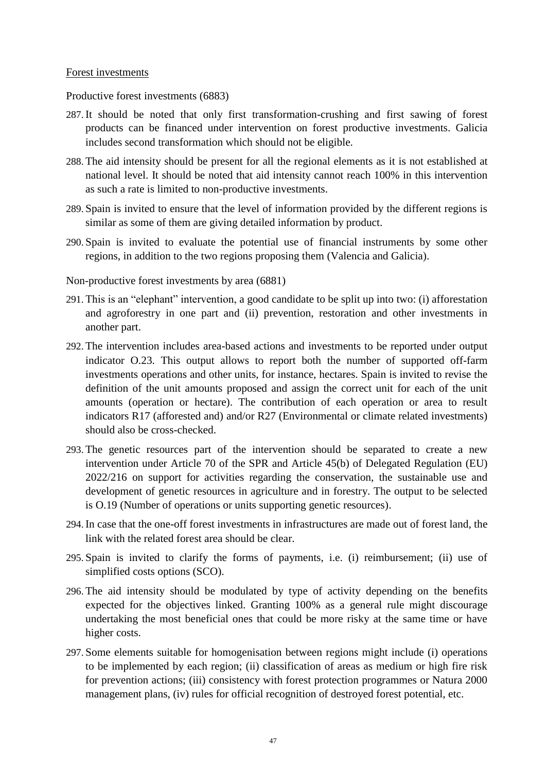#### Forest investments

Productive forest investments (6883)

- 287.It should be noted that only first transformation-crushing and first sawing of forest products can be financed under intervention on forest productive investments. Galicia includes second transformation which should not be eligible.
- 288. The aid intensity should be present for all the regional elements as it is not established at national level. It should be noted that aid intensity cannot reach 100% in this intervention as such a rate is limited to non-productive investments.
- 289. Spain is invited to ensure that the level of information provided by the different regions is similar as some of them are giving detailed information by product.
- 290. Spain is invited to evaluate the potential use of financial instruments by some other regions, in addition to the two regions proposing them (Valencia and Galicia).

Non-productive forest investments by area (6881)

- 291. This is an "elephant" intervention, a good candidate to be split up into two: (i) afforestation and agroforestry in one part and (ii) prevention, restoration and other investments in another part.
- 292. The intervention includes area-based actions and investments to be reported under output indicator O.23. This output allows to report both the number of supported off-farm investments operations and other units, for instance, hectares. Spain is invited to revise the definition of the unit amounts proposed and assign the correct unit for each of the unit amounts (operation or hectare). The contribution of each operation or area to result indicators R17 (afforested and) and/or R27 (Environmental or climate related investments) should also be cross-checked.
- 293. The genetic resources part of the intervention should be separated to create a new intervention under Article 70 of the SPR and Article 45(b) of Delegated Regulation (EU) 2022/216 on support for activities regarding the conservation, the sustainable use and development of genetic resources in agriculture and in forestry. The output to be selected is O.19 (Number of operations or units supporting genetic resources).
- 294.In case that the one-off forest investments in infrastructures are made out of forest land, the link with the related forest area should be clear.
- 295. Spain is invited to clarify the forms of payments, i.e. (i) reimbursement; (ii) use of simplified costs options (SCO).
- 296. The aid intensity should be modulated by type of activity depending on the benefits expected for the objectives linked. Granting 100% as a general rule might discourage undertaking the most beneficial ones that could be more risky at the same time or have higher costs.
- 297. Some elements suitable for homogenisation between regions might include (i) operations to be implemented by each region; (ii) classification of areas as medium or high fire risk for prevention actions; (iii) consistency with forest protection programmes or Natura 2000 management plans, (iv) rules for official recognition of destroyed forest potential, etc.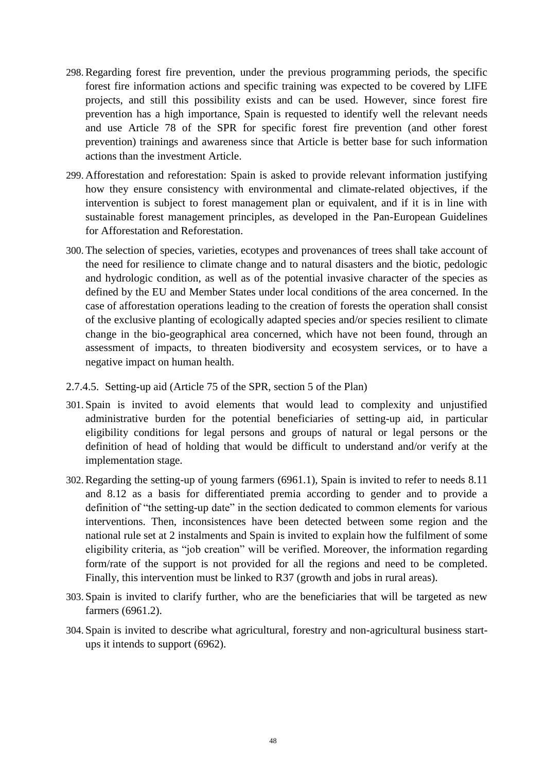- 298.Regarding forest fire prevention, under the previous programming periods, the specific forest fire information actions and specific training was expected to be covered by LIFE projects, and still this possibility exists and can be used. However, since forest fire prevention has a high importance, Spain is requested to identify well the relevant needs and use Article 78 of the SPR for specific forest fire prevention (and other forest prevention) trainings and awareness since that Article is better base for such information actions than the investment Article.
- 299. Afforestation and reforestation: Spain is asked to provide relevant information justifying how they ensure consistency with environmental and climate-related objectives, if the intervention is subject to forest management plan or equivalent, and if it is in line with sustainable forest management principles, as developed in the Pan-European Guidelines for Afforestation and Reforestation.
- 300. The selection of species, varieties, ecotypes and provenances of trees shall take account of the need for resilience to climate change and to natural disasters and the biotic, pedologic and hydrologic condition, as well as of the potential invasive character of the species as defined by the EU and Member States under local conditions of the area concerned. In the case of afforestation operations leading to the creation of forests the operation shall consist of the exclusive planting of ecologically adapted species and/or species resilient to climate change in the bio-geographical area concerned, which have not been found, through an assessment of impacts, to threaten biodiversity and ecosystem services, or to have a negative impact on human health.
- 2.7.4.5. Setting-up aid (Article 75 of the SPR, section 5 of the Plan)
- 301. Spain is invited to avoid elements that would lead to complexity and unjustified administrative burden for the potential beneficiaries of setting-up aid, in particular eligibility conditions for legal persons and groups of natural or legal persons or the definition of head of holding that would be difficult to understand and/or verify at the implementation stage.
- 302.Regarding the setting-up of young farmers (6961.1), Spain is invited to refer to needs 8.11 and 8.12 as a basis for differentiated premia according to gender and to provide a definition of "the setting-up date" in the section dedicated to common elements for various interventions. Then, inconsistences have been detected between some region and the national rule set at 2 instalments and Spain is invited to explain how the fulfilment of some eligibility criteria, as "job creation" will be verified. Moreover, the information regarding form/rate of the support is not provided for all the regions and need to be completed. Finally, this intervention must be linked to R37 (growth and jobs in rural areas).
- 303. Spain is invited to clarify further, who are the beneficiaries that will be targeted as new farmers (6961.2).
- 304. Spain is invited to describe what agricultural, forestry and non-agricultural business startups it intends to support (6962).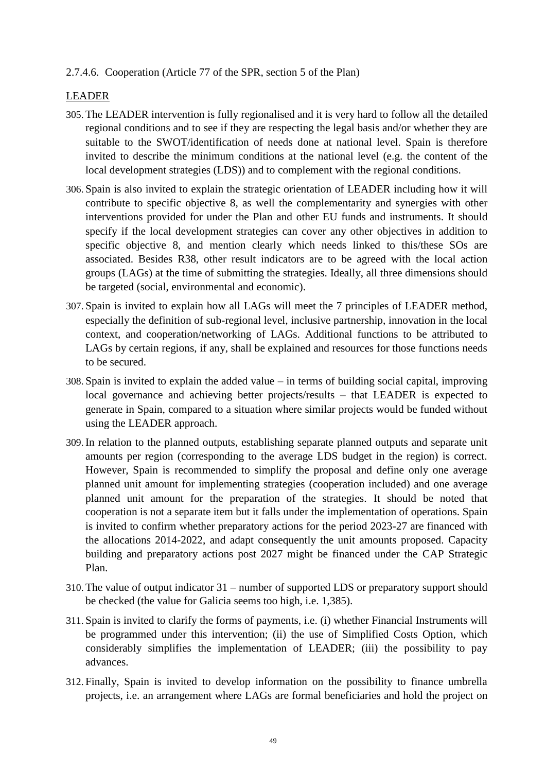#### 2.7.4.6. Cooperation (Article 77 of the SPR, section 5 of the Plan)

## LEADER

- 305. The LEADER intervention is fully regionalised and it is very hard to follow all the detailed regional conditions and to see if they are respecting the legal basis and/or whether they are suitable to the SWOT/identification of needs done at national level. Spain is therefore invited to describe the minimum conditions at the national level (e.g. the content of the local development strategies (LDS)) and to complement with the regional conditions.
- 306. Spain is also invited to explain the strategic orientation of LEADER including how it will contribute to specific objective 8, as well the complementarity and synergies with other interventions provided for under the Plan and other EU funds and instruments. It should specify if the local development strategies can cover any other objectives in addition to specific objective 8, and mention clearly which needs linked to this/these SOs are associated. Besides R38, other result indicators are to be agreed with the local action groups (LAGs) at the time of submitting the strategies. Ideally, all three dimensions should be targeted (social, environmental and economic).
- 307. Spain is invited to explain how all LAGs will meet the 7 principles of LEADER method, especially the definition of sub-regional level, inclusive partnership, innovation in the local context, and cooperation/networking of LAGs. Additional functions to be attributed to LAGs by certain regions, if any, shall be explained and resources for those functions needs to be secured.
- 308. Spain is invited to explain the added value in terms of building social capital, improving local governance and achieving better projects/results – that LEADER is expected to generate in Spain, compared to a situation where similar projects would be funded without using the LEADER approach.
- 309.In relation to the planned outputs, establishing separate planned outputs and separate unit amounts per region (corresponding to the average LDS budget in the region) is correct. However, Spain is recommended to simplify the proposal and define only one average planned unit amount for implementing strategies (cooperation included) and one average planned unit amount for the preparation of the strategies. It should be noted that cooperation is not a separate item but it falls under the implementation of operations. Spain is invited to confirm whether preparatory actions for the period 2023-27 are financed with the allocations 2014-2022, and adapt consequently the unit amounts proposed. Capacity building and preparatory actions post 2027 might be financed under the CAP Strategic Plan.
- 310. The value of output indicator 31 number of supported LDS or preparatory support should be checked (the value for Galicia seems too high, i.e. 1,385).
- 311. Spain is invited to clarify the forms of payments, i.e. (i) whether Financial Instruments will be programmed under this intervention; (ii) the use of Simplified Costs Option, which considerably simplifies the implementation of LEADER; (iii) the possibility to pay advances.
- 312. Finally, Spain is invited to develop information on the possibility to finance umbrella projects, i.e. an arrangement where LAGs are formal beneficiaries and hold the project on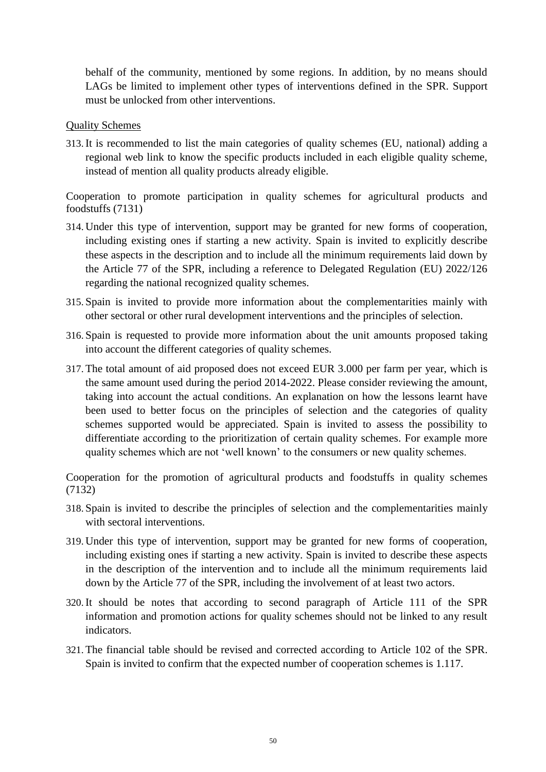behalf of the community, mentioned by some regions. In addition, by no means should LAGs be limited to implement other types of interventions defined in the SPR. Support must be unlocked from other interventions.

#### Quality Schemes

313.It is recommended to list the main categories of quality schemes (EU, national) adding a regional web link to know the specific products included in each eligible quality scheme, instead of mention all quality products already eligible.

Cooperation to promote participation in quality schemes for agricultural products and foodstuffs (7131)

- 314. Under this type of intervention, support may be granted for new forms of cooperation, including existing ones if starting a new activity. Spain is invited to explicitly describe these aspects in the description and to include all the minimum requirements laid down by the Article 77 of the SPR, including a reference to Delegated Regulation (EU) 2022/126 regarding the national recognized quality schemes.
- 315. Spain is invited to provide more information about the complementarities mainly with other sectoral or other rural development interventions and the principles of selection.
- 316. Spain is requested to provide more information about the unit amounts proposed taking into account the different categories of quality schemes.
- 317. The total amount of aid proposed does not exceed EUR 3.000 per farm per year, which is the same amount used during the period 2014-2022. Please consider reviewing the amount, taking into account the actual conditions. An explanation on how the lessons learnt have been used to better focus on the principles of selection and the categories of quality schemes supported would be appreciated. Spain is invited to assess the possibility to differentiate according to the prioritization of certain quality schemes. For example more quality schemes which are not 'well known' to the consumers or new quality schemes.

Cooperation for the promotion of agricultural products and foodstuffs in quality schemes (7132)

- 318. Spain is invited to describe the principles of selection and the complementarities mainly with sectoral interventions.
- 319. Under this type of intervention, support may be granted for new forms of cooperation, including existing ones if starting a new activity. Spain is invited to describe these aspects in the description of the intervention and to include all the minimum requirements laid down by the Article 77 of the SPR, including the involvement of at least two actors.
- 320.It should be notes that according to second paragraph of Article 111 of the SPR information and promotion actions for quality schemes should not be linked to any result indicators.
- 321. The financial table should be revised and corrected according to Article 102 of the SPR. Spain is invited to confirm that the expected number of cooperation schemes is 1.117.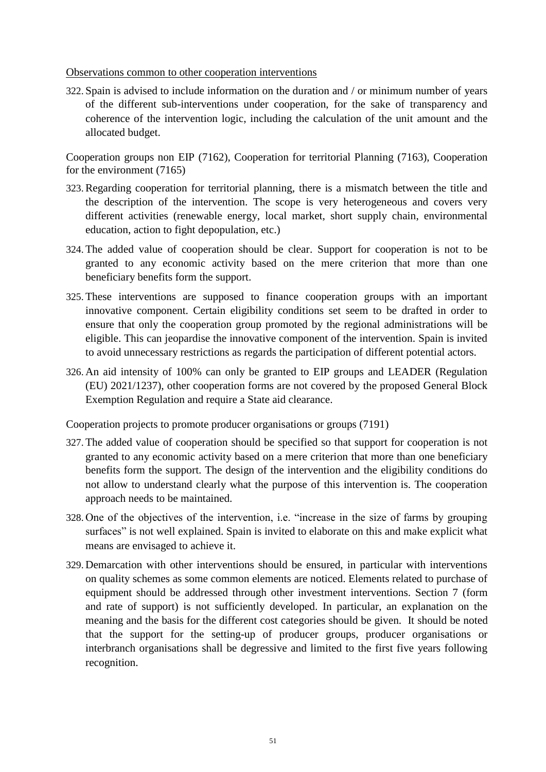#### Observations common to other cooperation interventions

322. Spain is advised to include information on the duration and / or minimum number of years of the different sub-interventions under cooperation, for the sake of transparency and coherence of the intervention logic, including the calculation of the unit amount and the allocated budget.

Cooperation groups non EIP (7162), Cooperation for territorial Planning (7163), Cooperation for the environment (7165)

- 323.Regarding cooperation for territorial planning, there is a mismatch between the title and the description of the intervention. The scope is very heterogeneous and covers very different activities (renewable energy, local market, short supply chain, environmental education, action to fight depopulation, etc.)
- 324. The added value of cooperation should be clear. Support for cooperation is not to be granted to any economic activity based on the mere criterion that more than one beneficiary benefits form the support.
- 325. These interventions are supposed to finance cooperation groups with an important innovative component. Certain eligibility conditions set seem to be drafted in order to ensure that only the cooperation group promoted by the regional administrations will be eligible. This can jeopardise the innovative component of the intervention. Spain is invited to avoid unnecessary restrictions as regards the participation of different potential actors.
- 326. An aid intensity of 100% can only be granted to EIP groups and LEADER (Regulation (EU) 2021/1237), other cooperation forms are not covered by the proposed General Block Exemption Regulation and require a State aid clearance.

Cooperation projects to promote producer organisations or groups (7191)

- 327. The added value of cooperation should be specified so that support for cooperation is not granted to any economic activity based on a mere criterion that more than one beneficiary benefits form the support. The design of the intervention and the eligibility conditions do not allow to understand clearly what the purpose of this intervention is. The cooperation approach needs to be maintained.
- 328. One of the objectives of the intervention, i.e. "increase in the size of farms by grouping surfaces" is not well explained. Spain is invited to elaborate on this and make explicit what means are envisaged to achieve it.
- 329. Demarcation with other interventions should be ensured, in particular with interventions on quality schemes as some common elements are noticed. Elements related to purchase of equipment should be addressed through other investment interventions. Section 7 (form and rate of support) is not sufficiently developed. In particular, an explanation on the meaning and the basis for the different cost categories should be given. It should be noted that the support for the setting-up of producer groups, producer organisations or interbranch organisations shall be degressive and limited to the first five years following recognition.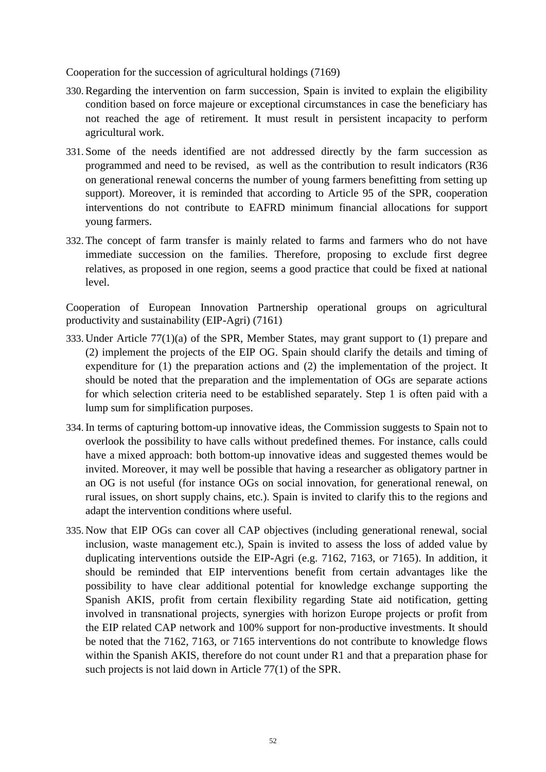Cooperation for the succession of agricultural holdings (7169)

- 330.Regarding the intervention on farm succession, Spain is invited to explain the eligibility condition based on force majeure or exceptional circumstances in case the beneficiary has not reached the age of retirement. It must result in persistent incapacity to perform agricultural work.
- 331. Some of the needs identified are not addressed directly by the farm succession as programmed and need to be revised, as well as the contribution to result indicators (R36 on generational renewal concerns the number of young farmers benefitting from setting up support). Moreover, it is reminded that according to Article 95 of the SPR, cooperation interventions do not contribute to EAFRD minimum financial allocations for support young farmers.
- 332. The concept of farm transfer is mainly related to farms and farmers who do not have immediate succession on the families. Therefore, proposing to exclude first degree relatives, as proposed in one region, seems a good practice that could be fixed at national level.

Cooperation of European Innovation Partnership operational groups on agricultural productivity and sustainability (EIP-Agri) (7161)

- 333. Under Article 77(1)(a) of the SPR, Member States, may grant support to (1) prepare and (2) implement the projects of the EIP OG. Spain should clarify the details and timing of expenditure for (1) the preparation actions and (2) the implementation of the project. It should be noted that the preparation and the implementation of OGs are separate actions for which selection criteria need to be established separately. Step 1 is often paid with a lump sum for simplification purposes.
- 334.In terms of capturing bottom-up innovative ideas, the Commission suggests to Spain not to overlook the possibility to have calls without predefined themes. For instance, calls could have a mixed approach: both bottom-up innovative ideas and suggested themes would be invited. Moreover, it may well be possible that having a researcher as obligatory partner in an OG is not useful (for instance OGs on social innovation, for generational renewal, on rural issues, on short supply chains, etc.). Spain is invited to clarify this to the regions and adapt the intervention conditions where useful.
- 335. Now that EIP OGs can cover all CAP objectives (including generational renewal, social inclusion, waste management etc.), Spain is invited to assess the loss of added value by duplicating interventions outside the EIP-Agri (e.g. 7162, 7163, or 7165). In addition, it should be reminded that EIP interventions benefit from certain advantages like the possibility to have clear additional potential for knowledge exchange supporting the Spanish AKIS, profit from certain flexibility regarding State aid notification, getting involved in transnational projects, synergies with horizon Europe projects or profit from the EIP related CAP network and 100% support for non-productive investments. It should be noted that the 7162, 7163, or 7165 interventions do not contribute to knowledge flows within the Spanish AKIS, therefore do not count under R1 and that a preparation phase for such projects is not laid down in Article 77(1) of the SPR.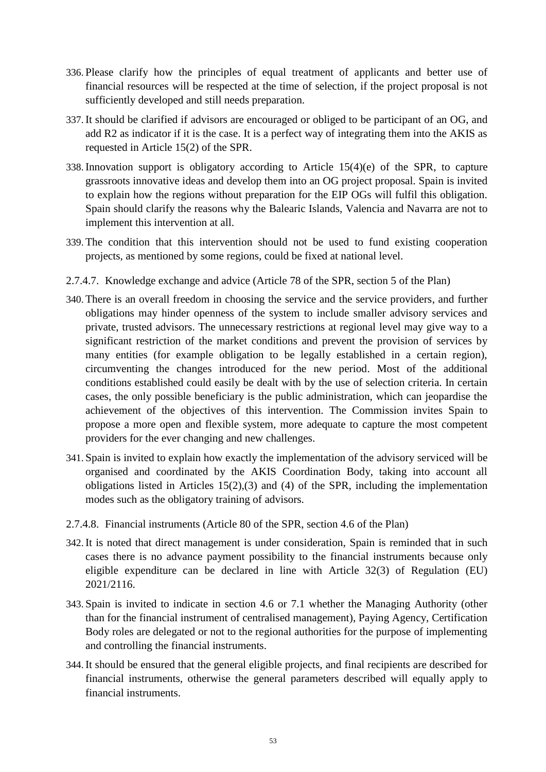- 336. Please clarify how the principles of equal treatment of applicants and better use of financial resources will be respected at the time of selection, if the project proposal is not sufficiently developed and still needs preparation.
- 337.It should be clarified if advisors are encouraged or obliged to be participant of an OG, and add R2 as indicator if it is the case. It is a perfect way of integrating them into the AKIS as requested in Article 15(2) of the SPR.
- 338.Innovation support is obligatory according to Article 15(4)(e) of the SPR, to capture grassroots innovative ideas and develop them into an OG project proposal. Spain is invited to explain how the regions without preparation for the EIP OGs will fulfil this obligation. Spain should clarify the reasons why the Balearic Islands, Valencia and Navarra are not to implement this intervention at all.
- 339. The condition that this intervention should not be used to fund existing cooperation projects, as mentioned by some regions, could be fixed at national level.
- 2.7.4.7. Knowledge exchange and advice (Article 78 of the SPR, section 5 of the Plan)
- 340. There is an overall freedom in choosing the service and the service providers, and further obligations may hinder openness of the system to include smaller advisory services and private, trusted advisors. The unnecessary restrictions at regional level may give way to a significant restriction of the market conditions and prevent the provision of services by many entities (for example obligation to be legally established in a certain region), circumventing the changes introduced for the new period. Most of the additional conditions established could easily be dealt with by the use of selection criteria. In certain cases, the only possible beneficiary is the public administration, which can jeopardise the achievement of the objectives of this intervention. The Commission invites Spain to propose a more open and flexible system, more adequate to capture the most competent providers for the ever changing and new challenges.
- 341. Spain is invited to explain how exactly the implementation of the advisory serviced will be organised and coordinated by the AKIS Coordination Body, taking into account all obligations listed in Articles 15(2),(3) and (4) of the SPR, including the implementation modes such as the obligatory training of advisors.
- 2.7.4.8. Financial instruments (Article 80 of the SPR, section 4.6 of the Plan)
- 342.It is noted that direct management is under consideration, Spain is reminded that in such cases there is no advance payment possibility to the financial instruments because only eligible expenditure can be declared in line with Article 32(3) of Regulation (EU) 2021/2116.
- 343. Spain is invited to indicate in section 4.6 or 7.1 whether the Managing Authority (other than for the financial instrument of centralised management), Paying Agency, Certification Body roles are delegated or not to the regional authorities for the purpose of implementing and controlling the financial instruments.
- 344.It should be ensured that the general eligible projects, and final recipients are described for financial instruments, otherwise the general parameters described will equally apply to financial instruments.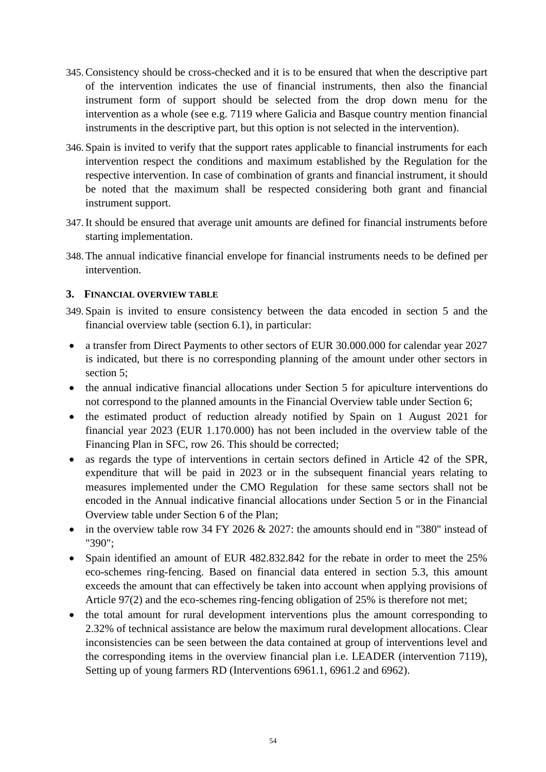- 345.Consistency should be cross-checked and it is to be ensured that when the descriptive part of the intervention indicates the use of financial instruments, then also the financial instrument form of support should be selected from the drop down menu for the intervention as a whole (see e.g. 7119 where Galicia and Basque country mention financial instruments in the descriptive part, but this option is not selected in the intervention).
- 346. Spain is invited to verify that the support rates applicable to financial instruments for each intervention respect the conditions and maximum established by the Regulation for the respective intervention. In case of combination of grants and financial instrument, it should be noted that the maximum shall be respected considering both grant and financial instrument support.
- 347.It should be ensured that average unit amounts are defined for financial instruments before starting implementation.
- 348. The annual indicative financial envelope for financial instruments needs to be defined per intervention.

#### **3. FINANCIAL OVERVIEW TABLE**

- 349. Spain is invited to ensure consistency between the data encoded in section 5 and the financial overview table (section 6.1), in particular:
- a transfer from Direct Payments to other sectors of EUR 30.000.000 for calendar year 2027 is indicated, but there is no corresponding planning of the amount under other sectors in section 5;
- the annual indicative financial allocations under Section 5 for apiculture interventions do not correspond to the planned amounts in the Financial Overview table under Section 6;
- the estimated product of reduction already notified by Spain on 1 August 2021 for financial year 2023 (EUR 1.170.000) has not been included in the overview table of the Financing Plan in SFC, row 26. This should be corrected;
- as regards the type of interventions in certain sectors defined in Article 42 of the SPR, expenditure that will be paid in 2023 or in the subsequent financial years relating to measures implemented under the CMO Regulation for these same sectors shall not be encoded in the Annual indicative financial allocations under Section 5 or in the Financial Overview table under Section 6 of the Plan;
- in the overview table row 34 FY 2026  $& 2027$ : the amounts should end in "380" instead of "390";
- Spain identified an amount of EUR 482.832.842 for the rebate in order to meet the 25% eco-schemes ring-fencing. Based on financial data entered in section 5.3, this amount exceeds the amount that can effectively be taken into account when applying provisions of Article 97(2) and the eco-schemes ring-fencing obligation of 25% is therefore not met;
- the total amount for rural development interventions plus the amount corresponding to 2.32% of technical assistance are below the maximum rural development allocations. Clear inconsistencies can be seen between the data contained at group of interventions level and the corresponding items in the overview financial plan i.e. LEADER (intervention 7119), Setting up of young farmers RD (Interventions 6961.1, 6961.2 and 6962).